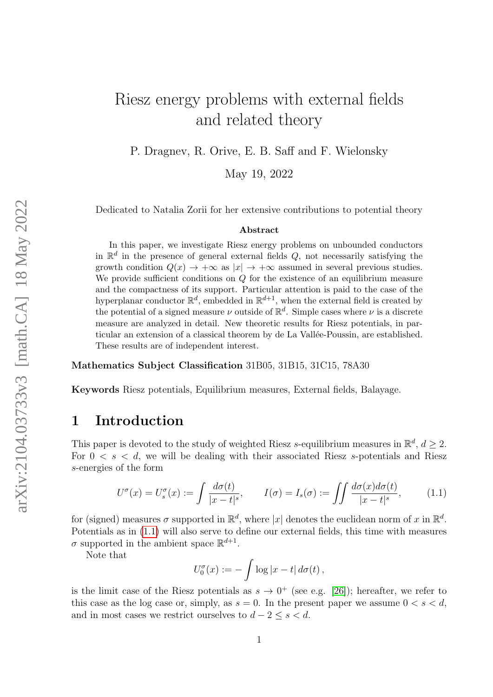# Riesz energy problems with external fields and related theory

P. Dragnev, R. Orive, E. B. Saff and F. Wielonsky

May 19, 2022

Dedicated to Natalia Zorii for her extensive contributions to potential theory

#### Abstract

In this paper, we investigate Riesz energy problems on unbounded conductors in  $\mathbb{R}^d$  in the presence of general external fields Q, not necessarily satisfying the growth condition  $Q(x) \to +\infty$  as  $|x| \to +\infty$  assumed in several previous studies. We provide sufficient conditions on  $Q$  for the existence of an equilibrium measure and the compactness of its support. Particular attention is paid to the case of the hyperplanar conductor  $\mathbb{R}^d$ , embedded in  $\mathbb{R}^{d+1}$ , when the external field is created by the potential of a signed measure  $\nu$  outside of  $\mathbb{R}^d$ . Simple cases where  $\nu$  is a discrete measure are analyzed in detail. New theoretic results for Riesz potentials, in particular an extension of a classical theorem by de La Vallée-Poussin, are established. These results are of independent interest.

Mathematics Subject Classification 31B05, 31B15, 31C15, 78A30

Keywords Riesz potentials, Equilibrium measures, External fields, Balayage.

### 1 Introduction

This paper is devoted to the study of weighted Riesz s-equilibrium measures in  $\mathbb{R}^d$ ,  $d \geq 2$ . For  $0 \lt s \lt d$ , we will be dealing with their associated Riesz s-potentials and Riesz s-energies of the form

<span id="page-0-0"></span>
$$
U^{\sigma}(x) = U_s^{\sigma}(x) := \int \frac{d\sigma(t)}{|x - t|^s}, \qquad I(\sigma) = I_s(\sigma) := \int \int \frac{d\sigma(x)d\sigma(t)}{|x - t|^s}, \qquad (1.1)
$$

for (signed) measures  $\sigma$  supported in  $\mathbb{R}^d$ , where |x| denotes the euclidean norm of x in  $\mathbb{R}^d$ . Potentials as in [\(1.1\)](#page-0-0) will also serve to define our external fields, this time with measures  $\sigma$  supported in the ambient space  $\mathbb{R}^{d+1}$ .

Note that

$$
U_0^{\sigma}(x) := -\int \log|x-t| d\sigma(t),
$$

is the limit case of the Riesz potentials as  $s \to 0^+$  (see e.g. [\[26\]](#page-35-0)); hereafter, we refer to this case as the log case or, simply, as  $s = 0$ . In the present paper we assume  $0 < s < d$ , and in most cases we restrict ourselves to  $d - 2 \leq s \leq d$ .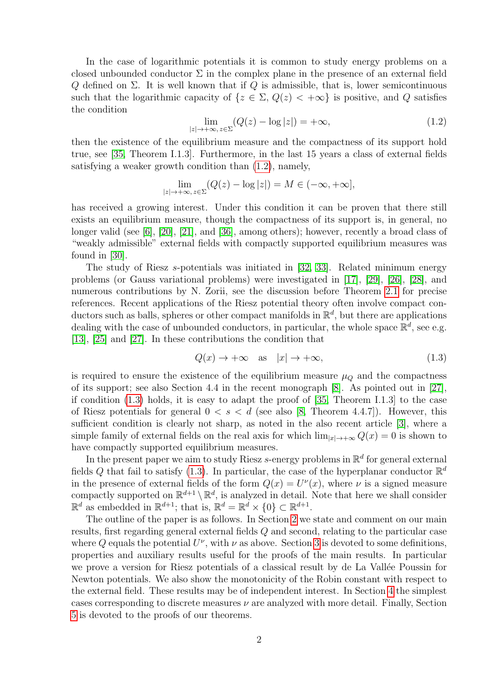In the case of logarithmic potentials it is common to study energy problems on a closed unbounded conductor  $\Sigma$  in the complex plane in the presence of an external field Q defined on  $\Sigma$ . It is well known that if Q is admissible, that is, lower semicontinuous such that the logarithmic capacity of  $\{z \in \Sigma, Q(z) < +\infty\}$  is positive, and Q satisfies the condition

<span id="page-1-0"></span>
$$
\lim_{|z| \to +\infty, z \in \Sigma} (Q(z) - \log|z|) = +\infty,
$$
\n(1.2)

then the existence of the equilibrium measure and the compactness of its support hold true, see [\[35,](#page-35-1) Theorem I.1.3]. Furthermore, in the last 15 years a class of external fields satisfying a weaker growth condition than [\(1.2\)](#page-1-0), namely,

$$
\lim_{|z| \to +\infty, z \in \Sigma} (Q(z) - \log|z|) = M \in (-\infty, +\infty],
$$

has received a growing interest. Under this condition it can be proven that there still exists an equilibrium measure, though the compactness of its support is, in general, no longer valid (see [\[6\]](#page-34-0), [\[20\]](#page-35-2), [\[21\]](#page-35-3), and [\[36\]](#page-36-0), among others); however, recently a broad class of "weakly admissible" external fields with compactly supported equilibrium measures was found in [\[30\]](#page-35-4).

The study of Riesz s-potentials was initiated in [\[32,](#page-35-5) [33\]](#page-35-6). Related minimum energy problems (or Gauss variational problems) were investigated in [\[17\]](#page-34-1), [\[29\]](#page-35-7), [\[26\]](#page-35-0), [\[28\]](#page-35-8), and numerous contributions by N. Zorii, see the discussion before Theorem [2.1](#page-3-0) for precise references. Recent applications of the Riesz potential theory often involve compact conductors such as balls, spheres or other compact manifolds in  $\mathbb{R}^d$ , but there are applications dealing with the case of unbounded conductors, in particular, the whole space  $\mathbb{R}^d$ , see e.g. [\[13\]](#page-34-2), [\[25\]](#page-35-9) and [\[27\]](#page-35-10). In these contributions the condition that

<span id="page-1-1"></span>
$$
Q(x) \to +\infty \quad \text{as} \quad |x| \to +\infty,\tag{1.3}
$$

is required to ensure the existence of the equilibrium measure  $\mu_Q$  and the compactness of its support; see also Section 4.4 in the recent monograph [\[8\]](#page-34-3). As pointed out in [\[27\]](#page-35-10), if condition [\(1.3\)](#page-1-1) holds, it is easy to adapt the proof of [\[35,](#page-35-1) Theorem I.1.3] to the case of Riesz potentials for general  $0 < s < d$  (see also [\[8,](#page-34-3) Theorem 4.4.7]). However, this sufficient condition is clearly not sharp, as noted in the also recent article [\[3\]](#page-34-4), where a simple family of external fields on the real axis for which  $\lim_{|x|\to+\infty} Q(x) = 0$  is shown to have compactly supported equilibrium measures.

In the present paper we aim to study Riesz s-energy problems in  $\mathbb{R}^d$  for general external fields Q that fail to satisfy [\(1.3\)](#page-1-1). In particular, the case of the hyperplanar conductor  $\mathbb{R}^d$ in the presence of external fields of the form  $Q(x) = U^{\nu}(x)$ , where  $\nu$  is a signed measure compactly supported on  $\mathbb{R}^{d+1} \setminus \mathbb{R}^d$ , is analyzed in detail. Note that here we shall consider  $\mathbb{R}^d$  as embedded in  $\mathbb{R}^{d+1}$ ; that is,  $\mathbb{R}^d = \mathbb{R}^d \times \{0\} \subset \mathbb{R}^{d+1}$ .

The outline of the paper is as follows. In Section [2](#page-2-0) we state and comment on our main results, first regarding general external fields Q and second, relating to the particular case where Q equals the potential  $U^{\nu}$ , with  $\nu$  as above. Section [3](#page-6-0) is devoted to some definitions, properties and auxiliary results useful for the proofs of the main results. In particular we prove a version for Riesz potentials of a classical result by de La Vallée Poussin for Newton potentials. We also show the monotonicity of the Robin constant with respect to the external field. These results may be of independent interest. In Section [4](#page-17-0) the simplest cases corresponding to discrete measures  $\nu$  are analyzed with more detail. Finally, Section [5](#page-22-0) is devoted to the proofs of our theorems.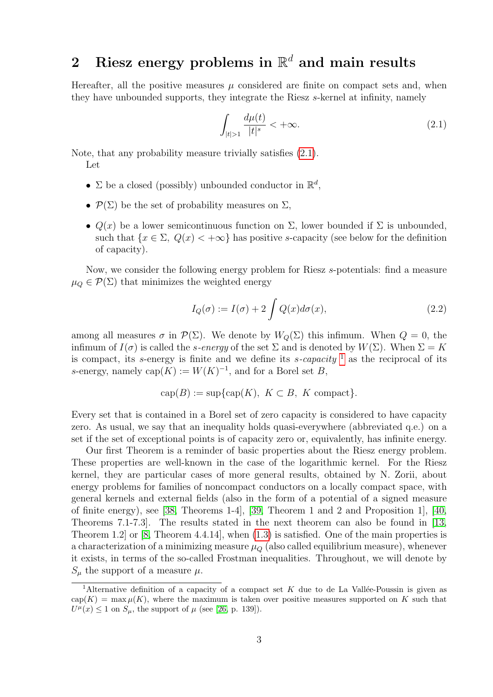# <span id="page-2-0"></span>2 Riesz energy problems in  $\mathbb{R}^d$  and main results

Hereafter, all the positive measures  $\mu$  considered are finite on compact sets and, when they have unbounded supports, they integrate the Riesz s-kernel at infinity, namely

<span id="page-2-1"></span>
$$
\int_{|t|>1} \frac{d\mu(t)}{|t|^s} < +\infty. \tag{2.1}
$$

Note, that any probability measure trivially satisfies [\(2.1\)](#page-2-1). Let

- $\Sigma$  be a closed (possibly) unbounded conductor in  $\mathbb{R}^d$ ,
- $\mathcal{P}(\Sigma)$  be the set of probability measures on  $\Sigma$ ,
- $Q(x)$  be a lower semicontinuous function on  $\Sigma$ , lower bounded if  $\Sigma$  is unbounded, such that  ${x \in \Sigma, Q(x) < +\infty}$  has positive s-capacity (see below for the definition of capacity).

Now, we consider the following energy problem for Riesz s-potentials: find a measure  $\mu_Q \in \mathcal{P}(\Sigma)$  that minimizes the weighted energy

<span id="page-2-3"></span>
$$
I_Q(\sigma) := I(\sigma) + 2 \int Q(x) d\sigma(x), \qquad (2.2)
$$

among all measures  $\sigma$  in  $\mathcal{P}(\Sigma)$ . We denote by  $W_0(\Sigma)$  this infimum. When  $Q = 0$ , the infimum of  $I(\sigma)$  is called the *s-energy* of the set  $\Sigma$  and is denoted by  $W(\Sigma)$ . When  $\Sigma = K$ is compact, its s-energy is finite and we define its s-capacity  $\frac{1}{1}$  $\frac{1}{1}$  $\frac{1}{1}$  as the reciprocal of its s-energy, namely cap $(K) := W(K)^{-1}$ , and for a Borel set B,

$$
cap(B) := sup\{cap(K), K \subset B, K \text{ compact}\}.
$$

Every set that is contained in a Borel set of zero capacity is considered to have capacity zero. As usual, we say that an inequality holds quasi-everywhere (abbreviated q.e.) on a set if the set of exceptional points is of capacity zero or, equivalently, has infinite energy.

Our first Theorem is a reminder of basic properties about the Riesz energy problem. These properties are well-known in the case of the logarithmic kernel. For the Riesz kernel, they are particular cases of more general results, obtained by N. Zorii, about energy problems for families of noncompact conductors on a locally compact space, with general kernels and external fields (also in the form of a potential of a signed measure of finite energy), see [\[38,](#page-36-1) Theorems 1-4], [\[39,](#page-36-2) Theorem 1 and 2 and Proposition 1], [\[40,](#page-36-3) Theorems 7.1-7.3]. The results stated in the next theorem can also be found in [\[13,](#page-34-2) Theorem 1.2] or [\[8,](#page-34-3) Theorem 4.4.14], when [\(1.3\)](#page-1-1) is satisfied. One of the main properties is a characterization of a minimizing measure  $\mu_Q$  (also called equilibrium measure), whenever it exists, in terms of the so-called Frostman inequalities. Throughout, we will denote by  $S_{\mu}$  the support of a measure  $\mu$ .

<span id="page-2-2"></span><sup>&</sup>lt;sup>1</sup>Alternative definition of a capacity of a compact set K due to de La Vallée-Poussin is given as  $cap(K) = max \mu(K)$ , where the maximum is taken over positive measures supported on K such that  $U^{\mu}(x) \leq 1$  on  $S_{\mu}$ , the support of  $\mu$  (see [\[26,](#page-35-0) p. 139]).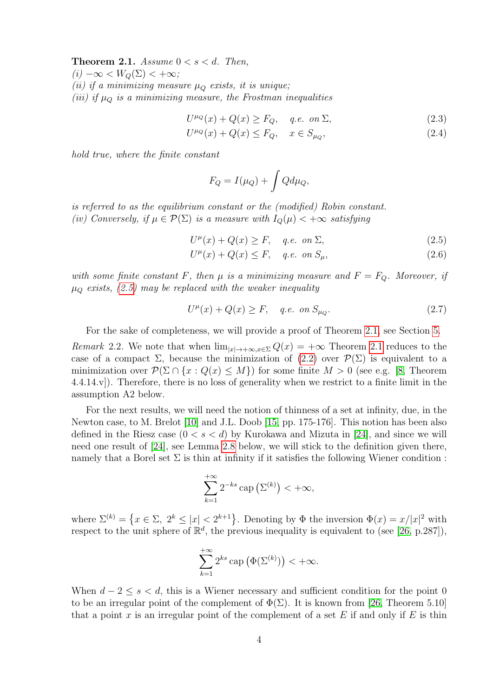<span id="page-3-0"></span>**Theorem 2.1.** Assume  $0 < s < d$ . Then,

 $(i) -\infty < W_Q(\Sigma) < +\infty;$ 

(ii) if a minimizing measure  $\mu_{\mathcal{O}}$  exists, it is unique;

(iii) if  $\mu_Q$  is a minimizing measure, the Frostman inequalities

$$
U^{\mu_Q}(x) + Q(x) \ge F_Q, \quad q.e. \text{ on } \Sigma,
$$
\n
$$
(2.3)
$$

$$
U^{\mu_Q}(x) + Q(x) \le F_Q, \quad x \in S_{\mu_Q}, \tag{2.4}
$$

hold true, where the finite constant

<span id="page-3-4"></span><span id="page-3-3"></span><span id="page-3-2"></span><span id="page-3-1"></span>
$$
F_Q = I(\mu_Q) + \int Q d\mu_Q,
$$

is referred to as the equilibrium constant or the (modified) Robin constant. (iv) Conversely, if  $\mu \in \mathcal{P}(\Sigma)$  is a measure with  $I_Q(\mu) < +\infty$  satisfying

$$
U^{\mu}(x) + Q(x) \ge F, \quad q.e. \text{ on } \Sigma,
$$
\n
$$
(2.5)
$$

$$
U^{\mu}(x) + Q(x) \le F, \quad q.e. \text{ on } S_{\mu}, \tag{2.6}
$$

with some finite constant F, then  $\mu$  is a minimizing measure and  $F = F_Q$ . Moreover, if  $\mu_{\mathcal{O}}$  exists, [\(2.5\)](#page-3-1) may be replaced with the weaker inequality

<span id="page-3-5"></span>
$$
U^{\mu}(x) + Q(x) \ge F, \quad q.e. \text{ on } S_{\mu_Q}.
$$
 (2.7)

For the sake of completeness, we will provide a proof of Theorem [2.1,](#page-3-0) see Section [5.](#page-22-0)

Remark 2.2. We note that when  $\lim_{|x|\to+\infty, x\in\Sigma} Q(x) = +\infty$  Theorem [2.1](#page-3-0) reduces to the case of a compact  $\Sigma$ , because the minimization of  $(2.2)$  over  $\mathcal{P}(\Sigma)$  is equivalent to a minimization over  $\mathcal{P}(\Sigma \cap \{x : Q(x) \leq M\})$  for some finite  $M > 0$  (see e.g. [\[8,](#page-34-3) Theorem 4.4.14.v]). Therefore, there is no loss of generality when we restrict to a finite limit in the assumption A2 below.

For the next results, we will need the notion of thinness of a set at infinity, due, in the Newton case, to M. Brelot [\[10\]](#page-34-5) and J.L. Doob [\[15,](#page-34-6) pp. 175-176]. This notion has been also defined in the Riesz case  $(0 < s < d)$  by Kurokawa and Mizuta in [\[24\]](#page-35-11), and since we will need one result of [\[24\]](#page-35-11), see Lemma [2.8](#page-5-0) below, we will stick to the definition given there, namely that a Borel set  $\Sigma$  is thin at infinity if it satisfies the following Wiener condition :

$$
\sum_{k=1}^{+\infty} 2^{-ks} \operatorname{cap} (\Sigma^{(k)}) < +\infty,
$$

where  $\Sigma^{(k)} = \{x \in \Sigma, 2^k \leq |x| < 2^{k+1}\}$ . Denoting by  $\Phi$  the inversion  $\Phi(x) = x/|x|^2$  with respect to the unit sphere of  $\mathbb{R}^d$ , the previous inequality is equivalent to (see [\[26,](#page-35-0) p.287]),

$$
\sum_{k=1}^{+\infty} 2^{ks} \operatorname{cap} (\Phi(\Sigma^{(k)})) < +\infty.
$$

When  $d-2 \leq s < d$ , this is a Wiener necessary and sufficient condition for the point 0 to be an irregular point of the complement of  $\Phi(\Sigma)$ . It is known from [\[26,](#page-35-0) Theorem 5.10] that a point x is an irregular point of the complement of a set  $E$  if and only if  $E$  is thin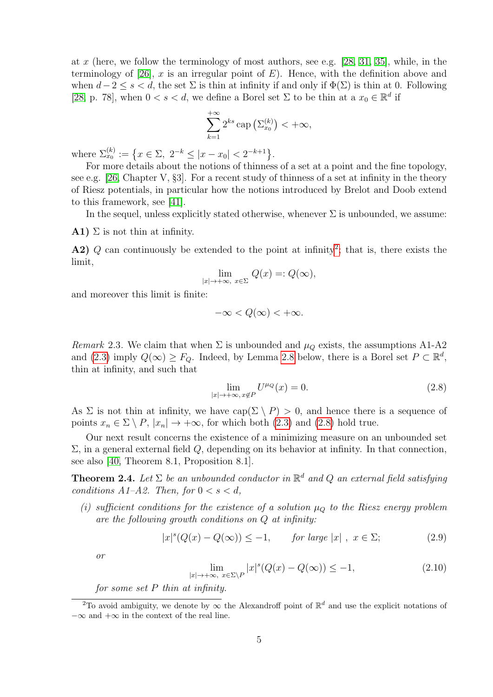at x (here, we follow the terminology of most authors, see e.g.  $[28, 31, 35]$  $[28, 31, 35]$  $[28, 31, 35]$ , while, in the terminology of  $[26]$ , x is an irregular point of E). Hence, with the definition above and when  $d-2 \leq s < d$ , the set  $\Sigma$  is thin at infinity if and only if  $\Phi(\Sigma)$  is thin at 0. Following [\[28,](#page-35-8) p. 78], when  $0 < s < d$ , we define a Borel set  $\Sigma$  to be thin at a  $x_0 \in \mathbb{R}^d$  if

$$
\sum_{k=1}^{+\infty} 2^{ks} \operatorname{cap} \left( \Sigma_{x_0}^{(k)} \right) < +\infty,
$$

where  $\Sigma_{x_0}^{(k)} := \left\{ x \in \Sigma, \ 2^{-k} \leq |x - x_0| < 2^{-k+1} \right\}.$ 

For more details about the notions of thinness of a set at a point and the fine topology, see e.g. [\[26,](#page-35-0) Chapter V,  $\S 3$ ]. For a recent study of thinness of a set at infinity in the theory of Riesz potentials, in particular how the notions introduced by Brelot and Doob extend to this framework, see [\[41\]](#page-36-4).

In the sequel, unless explicitly stated otherwise, whenever  $\Sigma$  is unbounded, we assume:

**A1**)  $\Sigma$  is not thin at infinity.

**A[2](#page-4-0))** Q can continuously be extended to the point at infinity<sup>2</sup>; that is, there exists the limit,

$$
\lim_{|x| \to +\infty, x \in \Sigma} Q(x) =: Q(\infty),
$$

and moreover this limit is finite:

$$
-\infty < Q(\infty) < +\infty.
$$

<span id="page-4-5"></span>Remark 2.3. We claim that when  $\Sigma$  is unbounded and  $\mu_Q$  exists, the assumptions A1-A2 and [\(2.3\)](#page-3-2) imply  $Q(\infty) \geq F_Q$ . Indeed, by Lemma [2.8](#page-5-0) below, there is a Borel set  $P \subset \mathbb{R}^d$ , thin at infinity, and such that

<span id="page-4-1"></span>
$$
\lim_{|x| \to +\infty, x \notin P} U^{\mu_Q}(x) = 0.
$$
\n(2.8)

As  $\Sigma$  is not thin at infinity, we have  $cap(\Sigma \setminus P) > 0$ , and hence there is a sequence of points  $x_n \in \Sigma \setminus P$ ,  $|x_n| \to +\infty$ , for which both [\(2.3\)](#page-3-2) and [\(2.8\)](#page-4-1) hold true.

Our next result concerns the existence of a minimizing measure on an unbounded set  $\Sigma$ , in a general external field  $Q$ , depending on its behavior at infinity. In that connection, see also [\[40,](#page-36-3) Theorem 8.1, Proposition 8.1].

<span id="page-4-2"></span>**Theorem 2.4.** Let  $\Sigma$  be an unbounded conductor in  $\mathbb{R}^d$  and Q an external field satisfying conditions  $A1-A2$ . Then, for  $0 < s < d$ ,

(i) sufficient conditions for the existence of a solution  $\mu_Q$  to the Riesz energy problem are the following growth conditions on Q at infinity:

<span id="page-4-4"></span>
$$
|x|^s(Q(x) - Q(\infty)) \le -1, \qquad \text{for large } |x| \ , \ x \in \Sigma; \tag{2.9}
$$

or

<span id="page-4-3"></span>
$$
\lim_{|x| \to +\infty, \ x \in \Sigma \backslash P} |x|^s (Q(x) - Q(\infty)) \le -1,
$$
\n(2.10)

for some set  $P$  thin at infinity.

<span id="page-4-0"></span><sup>&</sup>lt;sup>2</sup>To avoid ambiguity, we denote by  $\infty$  the Alexandroff point of  $\mathbb{R}^d$  and use the explicit notations of  $-\infty$  and  $+\infty$  in the context of the real line.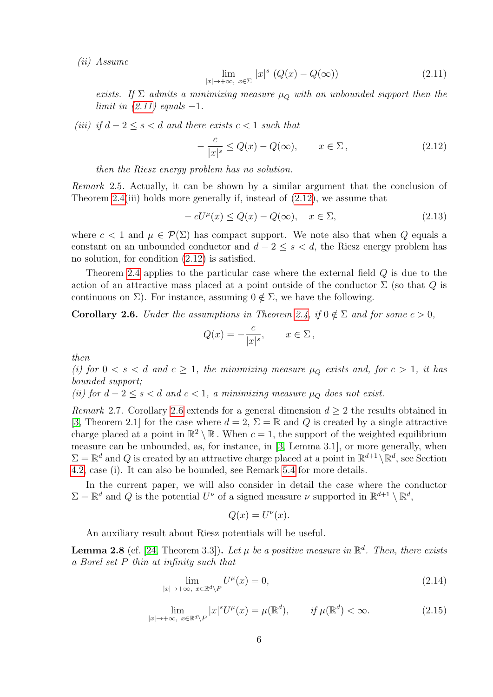(ii) Assume

<span id="page-5-1"></span>
$$
\lim_{|x| \to +\infty, x \in \Sigma} |x|^s \left( Q(x) - Q(\infty) \right) \tag{2.11}
$$

exists. If  $\Sigma$  admits a minimizing measure  $\mu_{\mathcal{O}}$  with an unbounded support then the limit in  $(2.11)$  equals  $-1$ .

(iii) if  $d-2 \leq s \leq d$  and there exists  $c < 1$  such that

<span id="page-5-2"></span>
$$
-\frac{c}{|x|^s} \le Q(x) - Q(\infty), \qquad x \in \Sigma, \tag{2.12}
$$

then the Riesz energy problem has no solution.

Remark 2.5. Actually, it can be shown by a similar argument that the conclusion of Theorem [2.4\(](#page-4-2)iii) holds more generally if, instead of [\(2.12\)](#page-5-2), we assume that

$$
-cU^{\mu}(x) \le Q(x) - Q(\infty), \quad x \in \Sigma,
$$
\n(2.13)

where  $c < 1$  and  $\mu \in \mathcal{P}(\Sigma)$  has compact support. We note also that when Q equals a constant on an unbounded conductor and  $d-2 \leq s < d$ , the Riesz energy problem has no solution, for condition [\(2.12\)](#page-5-2) is satisfied.

Theorem [2.4](#page-4-2) applies to the particular case where the external field Q is due to the action of an attractive mass placed at a point outside of the conductor  $\Sigma$  (so that Q is continuous on  $\Sigma$ ). For instance, assuming  $0 \notin \Sigma$ , we have the following.

<span id="page-5-3"></span>**Corollary 2.6.** Under the assumptions in Theorem [2.4,](#page-4-2) if  $0 \notin \Sigma$  and for some  $c > 0$ ,

$$
Q(x) = -\frac{c}{|x|^s}, \qquad x \in \Sigma \,,
$$

then

(i) for  $0 < s < d$  and  $c \geq 1$ , the minimizing measure  $\mu_Q$  exists and, for  $c > 1$ , it has bounded support;

(ii) for  $d-2 \le s \le d$  and  $c \le 1$ , a minimizing measure  $\mu_{\Omega}$  does not exist.

Remark 2.7. Corollary [2.6](#page-5-3) extends for a general dimension  $d \geq 2$  the results obtained in [\[3,](#page-34-4) Theorem 2.1] for the case where  $d = 2$ ,  $\Sigma = \mathbb{R}$  and Q is created by a single attractive charge placed at a point in  $\mathbb{R}^2 \setminus \mathbb{R}$ . When  $c = 1$ , the support of the weighted equilibrium measure can be unbounded, as, for instance, in [\[3,](#page-34-4) Lemma 3.1], or more generally, when  $\Sigma = \mathbb{R}^d$  and Q is created by an attractive charge placed at a point in  $\mathbb{R}^{d+1} \setminus \mathbb{R}^d$ , see Section [4.2,](#page-20-0) case (i). It can also be bounded, see Remark [5.4](#page-29-0) for more details.

In the current paper, we will also consider in detail the case where the conductor  $\Sigma = \mathbb{R}^d$  and Q is the potential  $U^{\nu}$  of a signed measure  $\nu$  supported in  $\mathbb{R}^{d+1} \setminus \mathbb{R}^d$ ,

<span id="page-5-5"></span><span id="page-5-4"></span>
$$
Q(x) = U^{\nu}(x).
$$

An auxiliary result about Riesz potentials will be useful.

<span id="page-5-0"></span>**Lemma 2.8** (cf. [\[24,](#page-35-11) Theorem 3.3]). Let  $\mu$  be a positive measure in  $\mathbb{R}^d$ . Then, there exists a Borel set P thin at infinity such that

$$
\lim_{|x| \to +\infty, \ x \in \mathbb{R}^d \setminus P} U^{\mu}(x) = 0,\tag{2.14}
$$

$$
\lim_{|x| \to +\infty, \ x \in \mathbb{R}^d \setminus P} |x|^s U^\mu(x) = \mu(\mathbb{R}^d), \qquad \text{if } \mu(\mathbb{R}^d) < \infty. \tag{2.15}
$$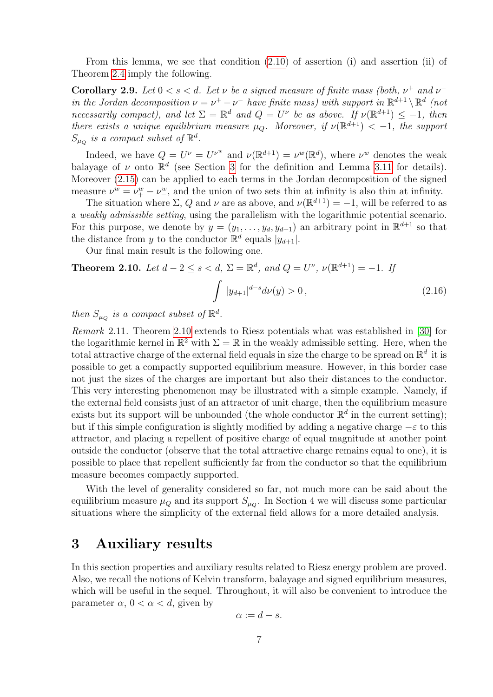From this lemma, we see that condition [\(2.10\)](#page-4-3) of assertion (i) and assertion (ii) of Theorem [2.4](#page-4-2) imply the following.

<span id="page-6-2"></span>**Corollary 2.9.** Let  $0 < s < d$ . Let  $\nu$  be a signed measure of finite mass (both,  $\nu^+$  and  $\nu^$ in the Jordan decomposition  $\nu = \nu^+ - \nu^-$  have finite mass) with support in  $\mathbb{R}^{d+1} \setminus \mathbb{R}^d$  (not necessarily compact), and let  $\Sigma = \mathbb{R}^d$  and  $Q = U^{\nu}$  be as above. If  $\nu(\mathbb{R}^{d+1}) \leq -1$ , then there exists a unique equilibrium measure  $\mu_Q$ . Moreover, if  $\nu(\mathbb{R}^{d+1}) < -1$ , the support  $S_{\mu_Q}$  is a compact subset of  $\mathbb{R}^d$ .

Indeed, we have  $Q = U^{\nu} = U^{\nu^w}$  and  $\nu(\mathbb{R}^{d+1}) = \nu^w(\mathbb{R}^d)$ , where  $\nu^w$  denotes the weak balayage of  $\nu$  onto  $\mathbb{R}^d$  (see Section [3](#page-6-0) for the definition and Lemma [3.11](#page-14-0) for details). Moreover [\(2.15\)](#page-5-4) can be applied to each terms in the Jordan decomposition of the signed measure  $\nu^w = \nu^w_+ - \nu^w_-$ , and the union of two sets thin at infinity is also thin at infinity.

The situation where  $\Sigma$ , Q and  $\nu$  are as above, and  $\nu(\mathbb{R}^{d+1}) = -1$ , will be referred to as a weakly admissible setting, using the parallelism with the logarithmic potential scenario. For this purpose, we denote by  $y = (y_1, \ldots, y_d, y_{d+1})$  an arbitrary point in  $\mathbb{R}^{d+1}$  so that the distance from y to the conductor  $\mathbb{R}^d$  equals  $|y_{d+1}|$ .

<span id="page-6-3"></span>Our final main result is the following one.

<span id="page-6-1"></span>**Theorem 2.10.** Let 
$$
d - 2 \le s < d
$$
,  $\Sigma = \mathbb{R}^d$ , and  $Q = U^{\nu}$ ,  $\nu(\mathbb{R}^{d+1}) = -1$ . If\n
$$
\int |y_{d+1}|^{d-s} d\nu(y) > 0,
$$
\n(2.16)

then  $S_{\mu_Q}$  is a compact subset of  $\mathbb{R}^d$ .

<span id="page-6-4"></span>Remark 2.11. Theorem [2.10](#page-6-1) extends to Riesz potentials what was established in [\[30\]](#page-35-4) for the logarithmic kernel in  $\mathbb{R}^2$  with  $\Sigma = \mathbb{R}$  in the weakly admissible setting. Here, when the total attractive charge of the external field equals in size the charge to be spread on  $\mathbb{R}^d$  it is possible to get a compactly supported equilibrium measure. However, in this border case not just the sizes of the charges are important but also their distances to the conductor. This very interesting phenomenon may be illustrated with a simple example. Namely, if the external field consists just of an attractor of unit charge, then the equilibrium measure exists but its support will be unbounded (the whole conductor  $\mathbb{R}^d$  in the current setting); but if this simple configuration is slightly modified by adding a negative charge  $-\varepsilon$  to this attractor, and placing a repellent of positive charge of equal magnitude at another point outside the conductor (observe that the total attractive charge remains equal to one), it is possible to place that repellent sufficiently far from the conductor so that the equilibrium measure becomes compactly supported.

With the level of generality considered so far, not much more can be said about the equilibrium measure  $\mu_Q$  and its support  $S_{\mu_Q}$ . In Section 4 we will discuss some particular situations where the simplicity of the external field allows for a more detailed analysis.

### <span id="page-6-0"></span>3 Auxiliary results

In this section properties and auxiliary results related to Riesz energy problem are proved. Also, we recall the notions of Kelvin transform, balayage and signed equilibrium measures, which will be useful in the sequel. Throughout, it will also be convenient to introduce the parameter  $\alpha$ ,  $0 < \alpha < d$ , given by

$$
\alpha := d - s.
$$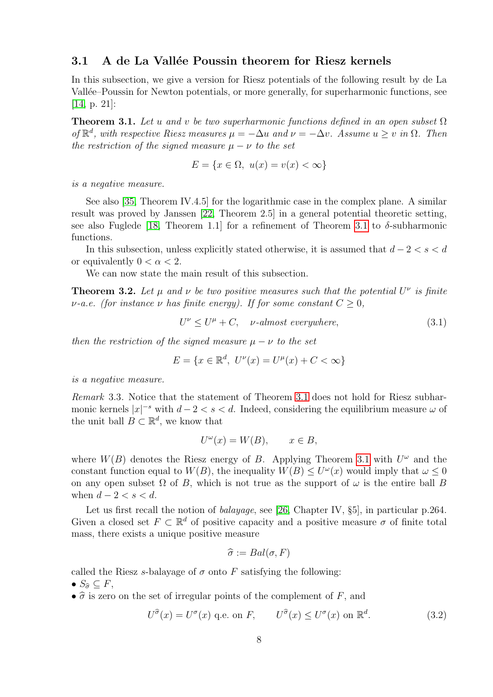#### 3.1 A de La Vallée Poussin theorem for Riesz kernels

In this subsection, we give a version for Riesz potentials of the following result by de La Vallée–Poussin for Newton potentials, or more generally, for superharmonic functions, see [\[14,](#page-34-7) p. 21]:

<span id="page-7-0"></span>**Theorem 3.1.** Let u and v be two superharmonic functions defined in an open subset  $\Omega$ of  $\mathbb{R}^d$ , with respective Riesz measures  $\mu = -\Delta u$  and  $\nu = -\Delta v$ . Assume  $u \geq v$  in  $\Omega$ . Then the restriction of the signed measure  $\mu - \nu$  to the set

$$
E = \{x \in \Omega, \ u(x) = v(x) < \infty\}
$$

is a negative measure.

See also [\[35,](#page-35-1) Theorem IV.4.5] for the logarithmic case in the complex plane. A similar result was proved by Janssen [\[22,](#page-35-13) Theorem 2.5] in a general potential theoretic setting, see also Fuglede [\[18,](#page-35-14) Theorem 1.1] for a refinement of Theorem [3.1](#page-7-0) to  $\delta$ -subharmonic functions.

In this subsection, unless explicitly stated otherwise, it is assumed that  $d-2 < s < d$ or equivalently  $0 < \alpha < 2$ .

We can now state the main result of this subsection.

<span id="page-7-2"></span>**Theorem 3.2.** Let  $\mu$  and  $\nu$  be two positive measures such that the potential  $U^{\nu}$  is finite  $\nu$ -a.e. (for instance  $\nu$  has finite energy). If for some constant  $C \geq 0$ ,

<span id="page-7-3"></span>
$$
U^{\nu} \le U^{\mu} + C, \quad \nu\text{-almost everywhere}, \tag{3.1}
$$

then the restriction of the signed measure  $\mu - \nu$  to the set

$$
E = \{ x \in \mathbb{R}^d, \ U^{\nu}(x) = U^{\mu}(x) + C < \infty \}
$$

is a negative measure.

Remark 3.3. Notice that the statement of Theorem [3.1](#page-7-0) does not hold for Riesz subharmonic kernels  $|x|^{-s}$  with  $d-2 < s < d$ . Indeed, considering the equilibrium measure  $\omega$  of the unit ball  $B \subset \mathbb{R}^d$ , we know that

$$
U^{\omega}(x) = W(B), \qquad x \in B,
$$

where  $W(B)$  denotes the Riesz energy of B. Applying Theorem [3.1](#page-7-0) with  $U^{\omega}$  and the constant function equal to  $W(B)$ , the inequality  $W(B) \leq U^{\omega}(x)$  would imply that  $\omega \leq 0$ on any open subset  $\Omega$  of B, which is not true as the support of  $\omega$  is the entire ball B when  $d-2 < s < d$ .

Let us first recall the notion of *balayage*, see [\[26,](#page-35-0) Chapter IV, §5], in particular p.264. Given a closed set  $F \subset \mathbb{R}^d$  of positive capacity and a positive measure  $\sigma$  of finite total mass, there exists a unique positive measure

$$
\widehat{\sigma} := Bal(\sigma, F)
$$

called the Riesz s-balayage of  $\sigma$  onto F satisfying the following:

•  $S_{\widehat{\sigma}} \subset F$ ,

•  $\hat{\sigma}$  is zero on the set of irregular points of the complement of F, and

<span id="page-7-1"></span>
$$
U^{\widehat{\sigma}}(x) = U^{\sigma}(x) \text{ q.e. on } F, \qquad U^{\widehat{\sigma}}(x) \le U^{\sigma}(x) \text{ on } \mathbb{R}^d. \tag{3.2}
$$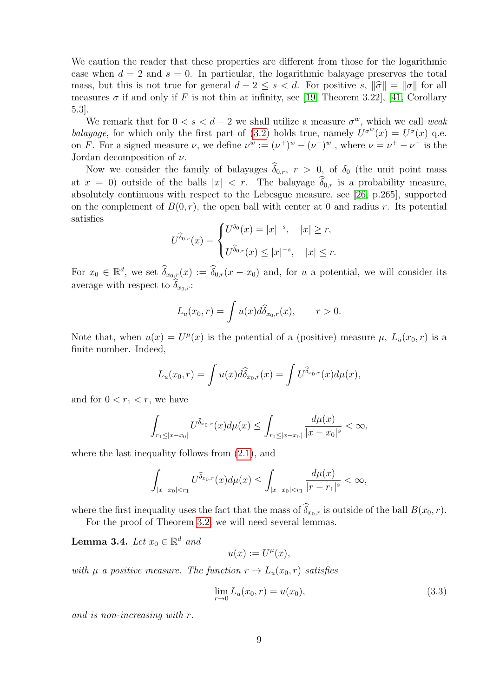We caution the reader that these properties are different from those for the logarithmic case when  $d = 2$  and  $s = 0$ . In particular, the logarithmic balayage preserves the total mass, but this is not true for general  $d - 2 \le s < d$ . For positive s,  $\|\hat{\sigma}\| = \|\sigma\|$  for all measures  $\sigma$  if and only if F is not thin at infinity, see [\[19,](#page-35-15) Theorem 3.22], [\[41,](#page-36-4) Corollary 5.3].

We remark that for  $0 < s < d-2$  we shall utilize a measure  $\sigma^w$ , which we call weak balayage, for which only the first part of [\(3.2\)](#page-7-1) holds true, namely  $U^{\sigma^w}(x) = U^{\sigma}(x)$  q.e. on F. For a signed measure  $\nu$ , we define  $\nu^w := (\nu^+)^w - (\nu^-)^w$ , where  $\nu = \nu^+ - \nu^-$  is the Jordan decomposition of  $\nu$ .

Now we consider the family of balayages  $\hat{\delta}_{0,r}$ ,  $r > 0$ , of  $\delta_0$  (the unit point mass at  $x = 0$ ) outside of the balls  $|x| < r$ . The balayage  $\widehat{\delta}_{0,r}$  is a probability measure, absolutely continuous with respect to the Lebesgue measure, see [\[26,](#page-35-0) p.265], supported on the complement of  $B(0, r)$ , the open ball with center at 0 and radius r. Its potential satisfies

$$
U^{\widehat{\delta}_{0,r}}(x) = \begin{cases} U^{\delta_0}(x) = |x|^{-s}, & |x| \ge r, \\ U^{\widehat{\delta}_{0,r}}(x) \le |x|^{-s}, & |x| \le r. \end{cases}
$$

For  $x_0 \in \mathbb{R}^d$ , we set  $\widehat{\delta}_{x_0,r}(x) := \widehat{\delta}_{0,r}(x-x_0)$  and, for u a potential, we will consider its average with respect to  $\delta_{x_0,r}$ :

$$
L_u(x_0,r) = \int u(x) d\widehat{\delta}_{x_0,r}(x), \qquad r > 0.
$$

Note that, when  $u(x) = U^{\mu}(x)$  is the potential of a (positive) measure  $\mu$ ,  $L_u(x_0, r)$  is a finite number. Indeed,

$$
L_u(x_0,r) = \int u(x) d\widehat{\delta}_{x_0,r}(x) = \int U^{\widehat{\delta}_{x_0,r}}(x) d\mu(x),
$$

and for  $0 < r_1 < r$ , we have

$$
\int_{r_1 \leq |x-x_0|} U^{\widehat{\delta}_{x_0,r}}(x) d\mu(x) \leq \int_{r_1 \leq |x-x_0|} \frac{d\mu(x)}{|x-x_0|^s} < \infty,
$$

where the last inequality follows from  $(2.1)$ , and

$$
\int_{|x-x_0|
$$

where the first inequality uses the fact that the mass of  $\widehat{\delta}_{x_0,r}$  is outside of the ball  $B(x_0, r)$ .

For the proof of Theorem [3.2,](#page-7-2) we will need several lemmas.

**Lemma 3.4.** Let  $x_0 \in \mathbb{R}^d$  and

$$
u(x) := U^{\mu}(x),
$$

with  $\mu$  a positive measure. The function  $r \to L_u(x_0, r)$  satisfies

<span id="page-8-0"></span>
$$
\lim_{r \to 0} L_u(x_0, r) = u(x_0),\tag{3.3}
$$

and is non-increasing with r.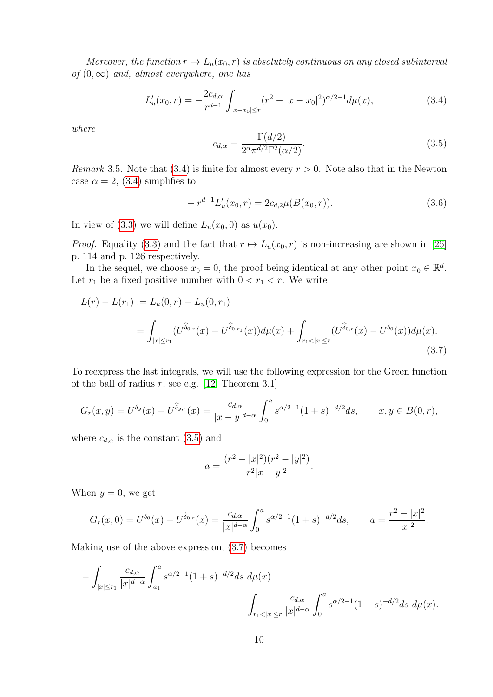Moreover, the function  $r \mapsto L_u(x_0, r)$  is absolutely continuous on any closed subinterval of  $(0, \infty)$  and, almost everywhere, one has

<span id="page-9-0"></span>
$$
L'_{u}(x_0, r) = -\frac{2c_{d,\alpha}}{r^{d-1}} \int_{|x-x_0| \le r} (r^2 - |x-x_0|^2)^{\alpha/2 - 1} d\mu(x),\tag{3.4}
$$

where

<span id="page-9-1"></span>
$$
c_{d,\alpha} = \frac{\Gamma(d/2)}{2^{\alpha} \pi^{d/2} \Gamma^2(\alpha/2)}.
$$
\n
$$
(3.5)
$$

*Remark* 3.5. Note that [\(3.4\)](#page-9-0) is finite for almost every  $r > 0$ . Note also that in the Newton case  $\alpha = 2$ , [\(3.4\)](#page-9-0) simplifies to

<span id="page-9-3"></span>
$$
-r^{d-1}L'_u(x_0,r) = 2c_{d,2}\mu(B(x_0,r)).
$$
\n(3.6)

In view of [\(3.3\)](#page-8-0) we will define  $L_u(x_0, 0)$  as  $u(x_0)$ .

*Proof.* Equality [\(3.3\)](#page-8-0) and the fact that  $r \mapsto L_u(x_0, r)$  is non-increasing are shown in [\[26\]](#page-35-0) p. 114 and p. 126 respectively.

In the sequel, we choose  $x_0 = 0$ , the proof being identical at any other point  $x_0 \in \mathbb{R}^d$ . Let  $r_1$  be a fixed positive number with  $0 < r_1 < r$ . We write

$$
L(r) - L(r_1) := L_u(0, r) - L_u(0, r_1)
$$
  
= 
$$
\int_{|x| \le r_1} (U^{\widehat{\delta}_{0,r}}(x) - U^{\widehat{\delta}_{0,r_1}}(x)) d\mu(x) + \int_{r_1 < |x| \le r} (U^{\widehat{\delta}_{0,r}}(x) - U^{\delta_0}(x)) d\mu(x).
$$
 (3.7)

To reexpress the last integrals, we will use the following expression for the Green function of the ball of radius  $r$ , see e.g. [\[12,](#page-34-8) Theorem 3.1]

$$
G_r(x,y) = U^{\delta_y}(x) - U^{\widehat{\delta}_{y,r}}(x) = \frac{c_{d,\alpha}}{|x-y|^{d-\alpha}} \int_0^a s^{\alpha/2 - 1} (1+s)^{-d/2} ds, \qquad x, y \in B(0,r),
$$

where  $c_{d,\alpha}$  is the constant [\(3.5\)](#page-9-1) and

<span id="page-9-2"></span>
$$
a = \frac{(r^2 - |x|^2)(r^2 - |y|^2)}{r^2|x - y|^2}.
$$

When  $y = 0$ , we get

$$
G_r(x,0) = U^{\delta_0}(x) - U^{\delta_{0,r}}(x) = \frac{c_{d,\alpha}}{|x|^{d-\alpha}} \int_0^a s^{\alpha/2 - 1} (1+s)^{-d/2} ds, \qquad a = \frac{r^2 - |x|^2}{|x|^2}.
$$

Making use of the above expression, [\(3.7\)](#page-9-2) becomes

$$
-\int_{|x|\le r_1} \frac{c_{d,\alpha}}{|x|^{d-\alpha}} \int_{a_1}^a s^{\alpha/2-1} (1+s)^{-d/2} ds \ d\mu(x) -\int_{r_1<|x|\le r} \frac{c_{d,\alpha}}{|x|^{d-\alpha}} \int_0^a s^{\alpha/2-1} (1+s)^{-d/2} ds \ d\mu(x).
$$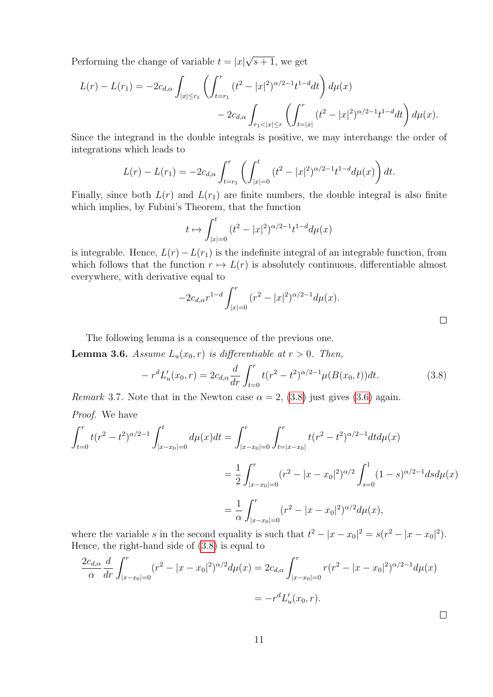Performing the change of variable  $t = |x|$ √  $s + 1$ , we get

$$
L(r) - L(r_1) = -2c_{d,\alpha} \int_{|x| \le r_1} \left( \int_{t=r_1}^r (t^2 - |x|^2)^{\alpha/2 - 1} t^{1-d} dt \right) d\mu(x)
$$
  
- 
$$
2c_{d,\alpha} \int_{r_1 < |x| \le r} \left( \int_{t=|x|}^r (t^2 - |x|^2)^{\alpha/2 - 1} t^{1-d} dt \right) d\mu(x).
$$

Since the integrand in the double integrals is positive, we may interchange the order of integrations which leads to

$$
L(r) - L(r_1) = -2c_{d,\alpha} \int_{t=r_1}^r \left( \int_{|x|=0}^t (t^2 - |x|^2)^{\alpha/2 - 1} t^{1-d} d\mu(x) \right) dt.
$$

Finally, since both  $L(r)$  and  $L(r_1)$  are finite numbers, the double integral is also finite which implies, by Fubini's Theorem, that the function

$$
t \mapsto \int_{|x|=0}^t (t^2 - |x|^2)^{\alpha/2 - 1} t^{1-d} d\mu(x)
$$

is integrable. Hence,  $L(r) - L(r_1)$  is the indefinite integral of an integrable function, from which follows that the function  $r \mapsto L(r)$  is absolutely continuous, differentiable almost everywhere, with derivative equal to

$$
-2c_{d,\alpha}r^{1-d}\int_{|x|=0}^r (r^2-|x|^2)^{\alpha/2-1}d\mu(x).
$$

The following lemma is a consequence of the previous one.

**Lemma 3.6.** Assume  $L_u(x_0, r)$  is differentiable at  $r > 0$ . Then,

<span id="page-10-0"></span>
$$
-r^{d}L'_{u}(x_{0}, r) = 2c_{d,\alpha} \frac{d}{dr} \int_{t=0}^{r} t(r^{2} - t^{2})^{\alpha/2 - 1} \mu(B(x_{0}, t)) dt.
$$
 (3.8)

*Remark* 3.7. Note that in the Newton case  $\alpha = 2$ , [\(3.8\)](#page-10-0) just gives [\(3.6\)](#page-9-3) again.

Proof. We have

$$
\int_{t=0}^{r} t(r^2 - t^2)^{\alpha/2 - 1} \int_{|x - x_0| = 0}^{t} d\mu(x) dt = \int_{|x - x_0| = 0}^{r} \int_{t = |x - x_0|}^{r} t(r^2 - t^2)^{\alpha/2 - 1} dt d\mu(x)
$$

$$
= \frac{1}{2} \int_{|x - x_0| = 0}^{r} (r^2 - |x - x_0|^2)^{\alpha/2} \int_{s = 0}^{1} (1 - s)^{\alpha/2 - 1} ds d\mu(x)
$$

$$
= \frac{1}{\alpha} \int_{|x - x_0| = 0}^{r} (r^2 - |x - x_0|^2)^{\alpha/2} d\mu(x),
$$

where the variable s in the second equality is such that  $t^2 - |x - x_0|^2 = s(r^2 - |x - x_0|^2)$ . Hence, the right-hand side of [\(3.8\)](#page-10-0) is equal to

$$
\frac{2c_{d,\alpha}}{\alpha} \frac{d}{dr} \int_{|x-x_0|=0}^r (r^2 - |x-x_0|^2)^{\alpha/2} d\mu(x) = 2c_{d,\alpha} \int_{|x-x_0|=0}^r r(r^2 - |x-x_0|^2)^{\alpha/2-1} d\mu(x)
$$

$$
= -r^d L'_u(x_0, r).
$$

 $\Box$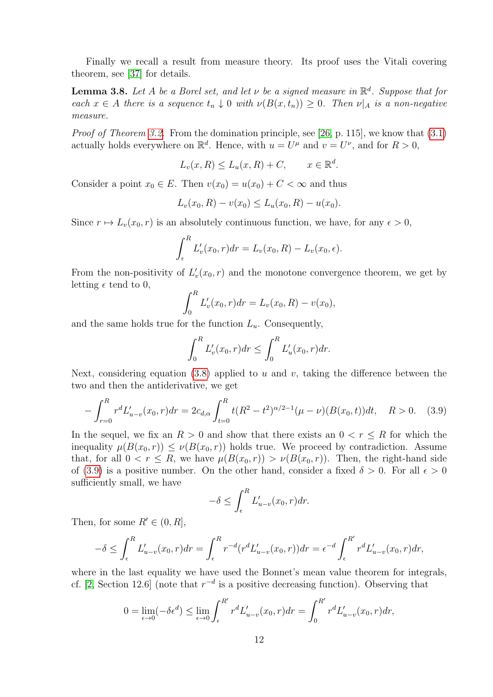Finally we recall a result from measure theory. Its proof uses the Vitali covering theorem, see [\[37\]](#page-36-5) for details.

<span id="page-11-1"></span>**Lemma 3.8.** Let A be a Borel set, and let  $\nu$  be a signed measure in  $\mathbb{R}^d$ . Suppose that for each  $x \in A$  there is a sequence  $t_n \downarrow 0$  with  $\nu(B(x, t_n)) \geq 0$ . Then  $\nu|_A$  is a non-negative measure.

Proof of Theorem [3.2.](#page-7-2) From the domination principle, see [\[26,](#page-35-0) p. 115], we know that  $(3.1)$ actually holds everywhere on  $\mathbb{R}^d$ . Hence, with  $u = U^{\mu}$  and  $v = U^{\nu}$ , and for  $R > 0$ ,

$$
L_v(x, R) \le L_u(x, R) + C, \qquad x \in \mathbb{R}^d.
$$

Consider a point  $x_0 \in E$ . Then  $v(x_0) = u(x_0) + C < \infty$  and thus

$$
L_v(x_0, R) - v(x_0) \le L_u(x_0, R) - u(x_0).
$$

Since  $r \mapsto L_v(x_0, r)$  is an absolutely continuous function, we have, for any  $\epsilon > 0$ ,

$$
\int_{\epsilon}^{R} L'_{v}(x_0, r) dr = L_{v}(x_0, R) - L_{v}(x_0, \epsilon).
$$

From the non-positivity of  $L'_v(x_0, r)$  and the monotone convergence theorem, we get by letting  $\epsilon$  tend to 0,

$$
\int_0^R L'_v(x_0, r) dr = L_v(x_0, R) - v(x_0),
$$

and the same holds true for the function  $L<sub>u</sub>$ . Consequently,

$$
\int_0^R L'_v(x_0, r) dr \le \int_0^R L'_u(x_0, r) dr.
$$

Next, considering equation [\(3.8\)](#page-10-0) applied to u and v, taking the difference between the two and then the antiderivative, we get

<span id="page-11-0"></span>
$$
-\int_{r=0}^{R} r^{d} L'_{u-v}(x_0, r) dr = 2c_{d,\alpha} \int_{t=0}^{R} t(R^2 - t^2)^{\alpha/2 - 1} (\mu - \nu)(B(x_0, t)) dt, \quad R > 0.
$$
 (3.9)

In the sequel, we fix an  $R > 0$  and show that there exists an  $0 < r \leq R$  for which the inequality  $\mu(B(x_0, r)) \leq \nu(B(x_0, r))$  holds true. We proceed by contradiction. Assume that, for all  $0 < r \leq R$ , we have  $\mu(B(x_0, r)) > \nu(B(x_0, r))$ . Then, the right-hand side of [\(3.9\)](#page-11-0) is a positive number. On the other hand, consider a fixed  $\delta > 0$ . For all  $\epsilon > 0$ sufficiently small, we have

$$
-\delta \le \int_{\epsilon}^{R} L'_{u-v}(x_0, r) dr.
$$

Then, for some  $R' \in (0, R]$ ,

$$
-\delta \le \int_{\epsilon}^{R} L'_{u-v}(x_0, r) dr = \int_{\epsilon}^{R} r^{-d} (r^d L'_{u-v}(x_0, r)) dr = \epsilon^{-d} \int_{\epsilon}^{R'} r^d L'_{u-v}(x_0, r) dr,
$$

where in the last equality we have used the Bonnet's mean value theorem for integrals, cf. [\[2,](#page-34-9) Section 12.6] (note that  $r^{-d}$  is a positive decreasing function). Observing that

$$
0 = \lim_{\epsilon \to 0} (-\delta \epsilon^d) \le \lim_{\epsilon \to 0} \int_{\epsilon}^{R'} r^d L'_{u-v}(x_0, r) dr = \int_0^{R'} r^d L'_{u-v}(x_0, r) dr,
$$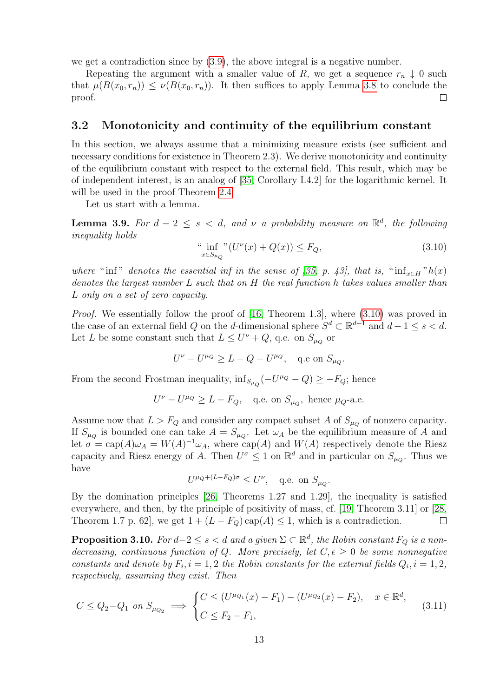we get a contradiction since by [\(3.9\)](#page-11-0), the above integral is a negative number.

Repeating the argument with a smaller value of R, we get a sequence  $r_n \downarrow 0$  such that  $\mu(B(x_0, r_n)) \leq \nu(B(x_0, r_n))$ . It then suffices to apply Lemma [3.8](#page-11-1) to conclude the proof.  $\Box$ 

#### 3.2 Monotonicity and continuity of the equilibrium constant

In this section, we always assume that a minimizing measure exists (see sufficient and necessary conditions for existence in Theorem 2.3). We derive monotonicity and continuity of the equilibrium constant with respect to the external field. This result, which may be of independent interest, is an analog of [\[35,](#page-35-1) Corollary I.4.2] for the logarithmic kernel. It will be used in the proof Theorem [2.4.](#page-4-2)

Let us start with a lemma.

**Lemma 3.9.** For  $d-2 \leq s < d$ , and  $\nu$  a probability measure on  $\mathbb{R}^d$ , the following inequality holds

<span id="page-12-0"></span>
$$
\inf_{x \in S_{\mu_Q}} \mathrm{C}U^{\nu}(x) + Q(x)) \le F_Q,\tag{3.10}
$$

where " inf" denotes the essential inf in the sense of [\[35,](#page-35-1) p. 43], that is, " $\inf_{x \in H} "h(x)$ denotes the largest number L such that on H the real function h takes values smaller than L only on a set of zero capacity.

*Proof.* We essentially follow the proof of [\[16,](#page-34-10) Theorem 1.3], where  $(3.10)$  was proved in the case of an external field Q on the d-dimensional sphere  $S^d \subset \mathbb{R}^{d+1}$  and  $d-1 \le s < d$ . Let L be some constant such that  $L \leq U^{\nu} + Q$ , q.e. on  $S_{\mu_Q}$  or

$$
U^{\nu} - U^{\mu_Q} \ge L - Q - U^{\mu_Q}, \quad \text{q.e on } S_{\mu_Q}.
$$

From the second Frostman inequality,  $\inf_{S_{\mu_Q}}(-U^{\mu_Q}-Q) \geq -F_Q$ ; hence

$$
U^{\nu} - U^{\mu_Q} \ge L - F_Q, \quad \text{q.e. on } S_{\mu_Q}, \text{ hence } \mu_Q\text{-a.e.}
$$

Assume now that  $L > F_Q$  and consider any compact subset A of  $S_{\mu_Q}$  of nonzero capacity. If  $S_{\mu_Q}$  is bounded one can take  $A = S_{\mu_Q}$ . Let  $\omega_A$  be the equilibrium measure of A and let  $\sigma = \text{cap}(A)\omega_A = W(A)^{-1}\omega_A$ , where  $\text{cap}(A)$  and  $W(A)$  respectively denote the Riesz capacity and Riesz energy of A. Then  $U^{\sigma} \leq 1$  on  $\mathbb{R}^{d}$  and in particular on  $S_{\mu_{Q}}$ . Thus we have

$$
U^{\mu_Q + (L - F_Q)\sigma} \le U^{\nu}, \quad \text{q.e. on } S_{\mu_Q}.
$$

By the domination principles [\[26,](#page-35-0) Theorems 1.27 and 1.29], the inequality is satisfied everywhere, and then, by the principle of positivity of mass, cf. [\[19,](#page-35-15) Theorem 3.11] or [\[28,](#page-35-8) Theorem 1.7 p. 62, we get  $1 + (L - F_Q) \text{ cap}(A) \leq 1$ , which is a contradiction.  $\Box$ 

<span id="page-12-2"></span>**Proposition 3.10.** For  $d-2 \leq s < d$  and a given  $\Sigma \subset \mathbb{R}^d$ , the Robin constant  $F_Q$  is a nondecreasing, continuous function of Q. More precisely, let  $C, \epsilon \geq 0$  be some nonnegative constants and denote by  $F_i$ ,  $i = 1, 2$  the Robin constants for the external fields  $Q_i$ ,  $i = 1, 2$ , respectively, assuming they exist. Then

<span id="page-12-1"></span>
$$
C \le Q_2 - Q_1 \text{ on } S_{\mu_{Q_2}} \implies \begin{cases} C \le (U^{\mu_{Q_1}}(x) - F_1) - (U^{\mu_{Q_2}}(x) - F_2), & x \in \mathbb{R}^d, \\ C \le F_2 - F_1, \end{cases} \tag{3.11}
$$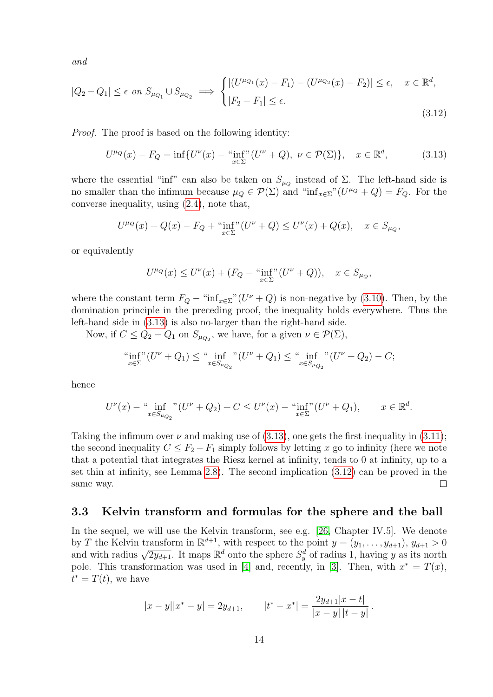and

<span id="page-13-1"></span>
$$
|Q_2 - Q_1| \le \epsilon \text{ on } S_{\mu_{Q_1}} \cup S_{\mu_{Q_2}} \implies \begin{cases} |(U^{\mu_{Q_1}}(x) - F_1) - (U^{\mu_{Q_2}}(x) - F_2)| \le \epsilon, & x \in \mathbb{R}^d, \\ |F_2 - F_1| \le \epsilon. \end{cases}
$$
(3.12)

Proof. The proof is based on the following identity:

<span id="page-13-0"></span>
$$
U^{\mu_Q}(x) - F_Q = \inf \{ U^{\nu}(x) - \inf_{x \in \Sigma} (U^{\nu} + Q), \ \nu \in \mathcal{P}(\Sigma) \}, \quad x \in \mathbb{R}^d,
$$
 (3.13)

where the essential "inf" can also be taken on  $S_{\mu_Q}$  instead of  $\Sigma$ . The left-hand side is no smaller than the infimum because  $\mu_Q \in \mathcal{P}(\Sigma)$  and "inf<sub>x∈</sub> $\Sigma$ " ( $U^{\mu_Q} + Q$ ) =  $F_Q$ . For the converse inequality, using [\(2.4\)](#page-3-3), note that,

$$
U^{\mu_Q}(x) + Q(x) - F_Q + \lim_{x \in \Sigma} (U^{\nu} + Q) \le U^{\nu}(x) + Q(x), \quad x \in S_{\mu_Q},
$$

or equivalently

$$
U^{\mu_Q}(x) \le U^{\nu}(x) + (F_Q - \lim_{x \in \Sigma} (U^{\nu} + Q)), \quad x \in S_{\mu_Q},
$$

where the constant term  $F_Q$  – "inf<sub>x∈</sub> $\Sigma$ "( $U^{\nu} + Q$ ) is non-negative by [\(3.10\)](#page-12-0). Then, by the domination principle in the preceding proof, the inequality holds everywhere. Thus the left-hand side in [\(3.13\)](#page-13-0) is also no-larger than the right-hand side.

Now, if  $C \leq Q_2 - Q_1$  on  $S_{\mu_{Q_2}}$ , we have, for a given  $\nu \in \mathcal{P}(\Sigma)$ ,

$$
\lim_{x \in \Sigma} (U^{\nu} + Q_1) \leq \lim_{x \in S_{\mu_{Q_2}}} (U^{\nu} + Q_1) \leq \lim_{x \in S_{\mu_{Q_2}}} (U^{\nu} + Q_2) - C;
$$

hence

$$
U^{\nu}(x) - \inf_{x \in S_{\mu_{Q_2}}} " (U^{\nu} + Q_2) + C \le U^{\nu}(x) - \inf_{x \in \Sigma} " (U^{\nu} + Q_1), \qquad x \in \mathbb{R}^d.
$$

Taking the infimum over  $\nu$  and making use of [\(3.13\)](#page-13-0), one gets the first inequality in [\(3.11\)](#page-12-1); the second inequality  $C \leq F_2 - F_1$  simply follows by letting x go to infinity (here we note that a potential that integrates the Riesz kernel at infinity, tends to 0 at infinity, up to a set thin at infinity, see Lemma [2.8\)](#page-5-0). The second implication [\(3.12\)](#page-13-1) can be proved in the same way.  $\Box$ 

#### <span id="page-13-2"></span>3.3 Kelvin transform and formulas for the sphere and the ball

In the sequel, we will use the Kelvin transform, see e.g. [\[26,](#page-35-0) Chapter IV.5]. We denote by T the Kelvin transform in  $\mathbb{R}^{d+1}$ , with respect to the point  $y = (y_1, \ldots, y_{d+1}), y_{d+1} > 0$ by *I* the Kervin transform in  $\mathbb{R}^d$ , with respect to the point  $y = (y_1, \ldots, y_{d+1})$ ,  $y_{d+1} > 0$ <br>and with radius  $\sqrt{2y_{d+1}}$ . It maps  $\mathbb{R}^d$  onto the sphere  $S_y^d$  of radius 1, having *y* as its north pole. This transformation was used in [\[4\]](#page-34-11) and, recently, in [\[3\]](#page-34-4). Then, with  $x^* = T(x)$ ,  $t^* = T(t)$ , we have

$$
|x - y||x^* - y| = 2y_{d+1}, \qquad |t^* - x^*| = \frac{2y_{d+1}|x - t|}{|x - y||t - y|}.
$$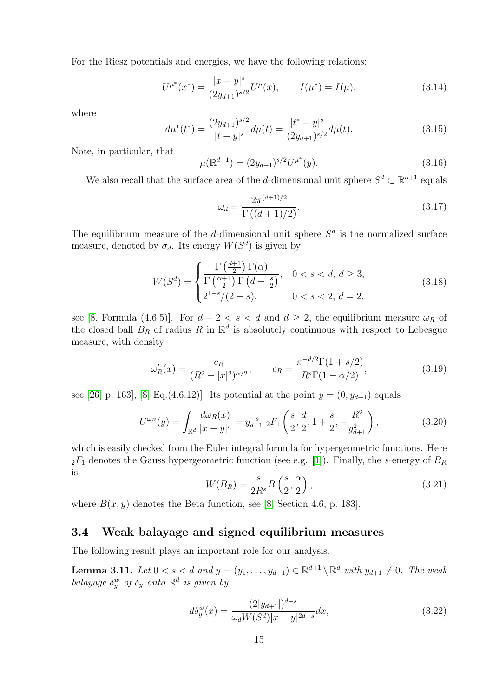For the Riesz potentials and energies, we have the following relations:

<span id="page-14-4"></span>
$$
U^{\mu^*}(x^*) = \frac{|x - y|^s}{(2y_{d+1})^{s/2}} U^{\mu}(x), \qquad I(\mu^*) = I(\mu), \tag{3.14}
$$

where

<span id="page-14-5"></span>
$$
d\mu^*(t^*) = \frac{(2y_{d+1})^{s/2}}{|t-y|^s} d\mu(t) = \frac{|t^*-y|^s}{(2y_{d+1})^{s/2}} d\mu(t).
$$
\n(3.15)

Note, in particular, that

<span id="page-14-6"></span>
$$
\mu(\mathbb{R}^{d+1}) = (2y_{d+1})^{s/2}U^{\mu^*}(y). \tag{3.16}
$$

We also recall that the surface area of the d-dimensional unit sphere  $S^d \subset \mathbb{R}^{d+1}$  equals

<span id="page-14-3"></span>
$$
\omega_d = \frac{2\pi^{(d+1)/2}}{\Gamma((d+1)/2)}.\tag{3.17}
$$

The equilibrium measure of the d-dimensional unit sphere  $S<sup>d</sup>$  is the normalized surface measure, denoted by  $\sigma_d$ . Its energy  $W(S^d)$  is given by

<span id="page-14-2"></span>
$$
W(S^{d}) = \begin{cases} \frac{\Gamma\left(\frac{d+1}{2}\right)\Gamma(\alpha)}{\Gamma\left(\frac{\alpha+1}{2}\right)\Gamma\left(d-\frac{s}{2}\right)}, & 0 < s < d, d \ge 3, \\ 2^{1-s}/(2-s), & 0 < s < 2, d = 2, \end{cases}
$$
(3.18)

see [\[8,](#page-34-3) Formula (4.6.5)]. For  $d - 2 < s < d$  and  $d \geq 2$ , the equilibrium measure  $\omega_R$  of the closed ball  $B_R$  of radius R in  $\mathbb{R}^d$  is absolutely continuous with respect to Lebesgue measure, with density

<span id="page-14-9"></span>
$$
\omega_R'(x) = \frac{c_R}{(R^2 - |x|^2)^{\alpha/2}}, \qquad c_R = \frac{\pi^{-d/2}\Gamma(1 + s/2)}{R^s\Gamma(1 - \alpha/2)},
$$
\n(3.19)

see [\[26,](#page-35-0) p. 163], [\[8,](#page-34-3) Eq.(4.6.12)]. Its potential at the point  $y = (0, y_{d+1})$  equals

<span id="page-14-8"></span>
$$
U^{\omega_R}(y) = \int_{\mathbb{R}^d} \frac{d\omega_R(x)}{|x - y|^s} = y_{d+1}^{-s} \, _2F_1\left(\frac{s}{2}, \frac{d}{2}, 1 + \frac{s}{2}, -\frac{R^2}{y_{d+1}^2}\right),\tag{3.20}
$$

which is easily checked from the Euler integral formula for hypergeometric functions. Here  $2F_1$  denotes the Gauss hypergeometric function (see e.g. [\[1\]](#page-34-12)). Finally, the s-energy of  $B_R$ is

<span id="page-14-7"></span>
$$
W(B_R) = \frac{s}{2R^s} B\left(\frac{s}{2}, \frac{\alpha}{2}\right),\tag{3.21}
$$

where  $B(x, y)$  denotes the Beta function, see [\[8,](#page-34-3) Section 4.6, p. 183].

#### 3.4 Weak balayage and signed equilibrium measures

The following result plays an important role for our analysis.

<span id="page-14-0"></span>**Lemma 3.11.** Let  $0 < s < d$  and  $y = (y_1, \ldots, y_{d+1}) \in \mathbb{R}^{d+1} \setminus \mathbb{R}^d$  with  $y_{d+1} \neq 0$ . The weak balayage  $\delta_y^w$  of  $\delta_y$  onto  $\mathbb{R}^d$  is given by

<span id="page-14-1"></span>
$$
d\delta_y^w(x) = \frac{(2|y_{d+1}|)^{d-s}}{\omega_d W(S^d)|x - y|^{2d-s}} dx,
$$
\n(3.22)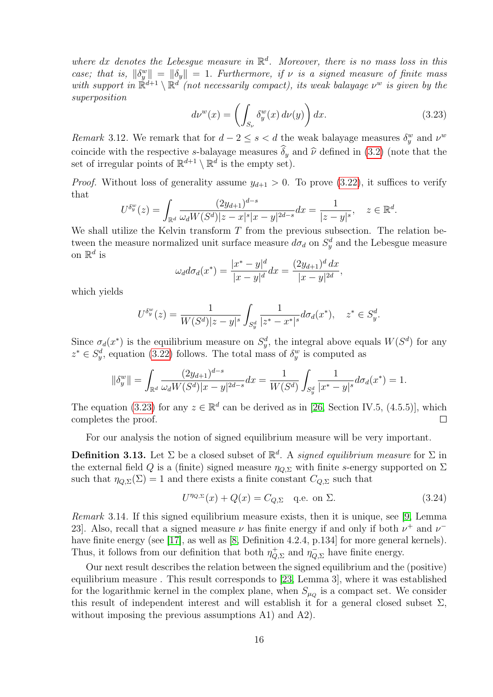where dx denotes the Lebesgue measure in  $\mathbb{R}^d$ . Moreover, there is no mass loss in this case; that is,  $\|\delta_y^w\| = \|\delta_y\| = 1$ . Furthermore, if  $\nu$  is a signed measure of finite mass with support in  $\mathbb{R}^{d+1} \setminus \mathbb{R}^d$  (not necessarily compact), its weak balayage  $\nu^w$  is given by the superposition

<span id="page-15-0"></span>
$$
d\nu^{w}(x) = \left(\int_{S_{\nu}} \delta_{y}^{w}(x) d\nu(y)\right) dx.
$$
 (3.23)

Remark 3.12. We remark that for  $d-2 \leq s < d$  the weak balayage measures  $\delta_y^w$  and  $\nu^w$ coincide with the respective s-balayage measures  $\delta_u$  and  $\hat{\nu}$  defined in [\(3.2\)](#page-7-1) (note that the set of irregular points of  $\mathbb{R}^{d+1} \setminus \mathbb{R}^d$  is the empty set).

*Proof.* Without loss of generality assume  $y_{d+1} > 0$ . To prove [\(3.22\)](#page-14-1), it suffices to verify that

$$
U^{\delta_y^w}(z) = \int_{\mathbb{R}^d} \frac{(2y_{d+1})^{d-s}}{\omega_d W(S^d)|z - x|^s |x - y|^{2d - s}} dx = \frac{1}{|z - y|^s}, \quad z \in \mathbb{R}^d.
$$

We shall utilize the Kelvin transform  $T$  from the previous subsection. The relation between the measure normalized unit surface measure  $d\sigma_d$  on  $S_y^d$  and the Lebesgue measure on  $\mathbb{R}^d$  is

$$
\omega_d d\sigma_d(x^*) = \frac{|x^* - y|^d}{|x - y|^d} dx = \frac{(2y_{d+1})^d dx}{|x - y|^{2d}},
$$

which yields

$$
U^{\delta_y^w}(z) = \frac{1}{W(S^d)|z - y|^s} \int_{S_y^d} \frac{1}{|z^* - x^*|^s} d\sigma_d(x^*), \quad z^* \in S_y^d.
$$

Since  $\sigma_d(x^*)$  is the equilibrium measure on  $S_y^d$ , the integral above equals  $W(S^d)$  for any  $z^* \in S_y^d$ , equation [\(3.22\)](#page-14-1) follows. The total mass of  $\delta_y^w$  is computed as

$$
\|\delta_y^w\| = \int_{\mathbb{R}^d} \frac{(2y_{d+1})^{d-s}}{\omega_d W(S^d)|x - y|^{2d-s}} dx = \frac{1}{W(S^d)} \int_{S_y^d} \frac{1}{|x^* - y|^s} d\sigma_d(x^*) = 1.
$$

The equation [\(3.23\)](#page-15-0) for any  $z \in \mathbb{R}^d$  can be derived as in [\[26,](#page-35-0) Section IV.5, (4.5.5)], which completes the proof.  $\Box$ 

For our analysis the notion of signed equilibrium measure will be very important.

**Definition 3.13.** Let  $\Sigma$  be a closed subset of  $\mathbb{R}^d$ . A signed equilibrium measure for  $\Sigma$  in the external field Q is a (finite) signed measure  $\eta_{Q,\Sigma}$  with finite s-energy supported on  $\Sigma$ such that  $\eta_{Q,\Sigma}(\Sigma) = 1$  and there exists a finite constant  $C_{Q,\Sigma}$  such that

<span id="page-15-1"></span>
$$
U^{\eta_{Q,\Sigma}}(x) + Q(x) = C_{Q,\Sigma} \quad \text{q.e. on } \Sigma.
$$
 (3.24)

Remark 3.14. If this signed equilibrium measure exists, then it is unique, see [\[9,](#page-34-13) Lemma 23. Also, recall that a signed measure  $\nu$  has finite energy if and only if both  $\nu^+$  and  $\nu^-$ have finite energy (see [\[17\]](#page-34-1), as well as [\[8,](#page-34-3) Definition 4.2.4, p.134] for more general kernels). Thus, it follows from our definition that both  $\eta_{\mathcal{O}}^+$  $\eta_{Q,\Sigma}^+$  and  $\eta_{Q,\Sigma}^-$  have finite energy.

Our next result describes the relation between the signed equilibrium and the (positive) equilibrium measure . This result corresponds to [\[23,](#page-35-16) Lemma 3], where it was established for the logarithmic kernel in the complex plane, when  $S_{\mu_Q}$  is a compact set. We consider this result of independent interest and will establish it for a general closed subset  $\Sigma$ , without imposing the previous assumptions A1) and A2).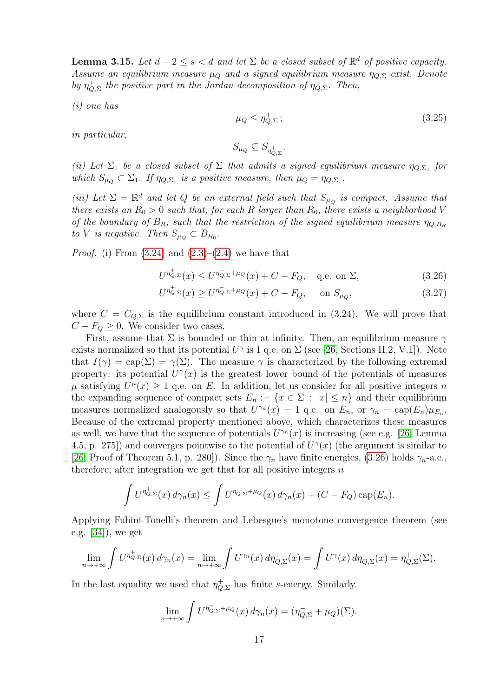<span id="page-16-3"></span>**Lemma 3.15.** Let  $d-2 \leq s < d$  and let  $\Sigma$  be a closed subset of  $\mathbb{R}^d$  of positive capacity. Assume an equilibrium measure  $\mu_Q$  and a signed equilibrium measure  $\eta_{Q,\Sigma}$  exist. Denote by  $\eta^+_O$  $\phi_{Q,\Sigma}^+$  the positive part in the Jordan decomposition of  $\eta_{Q,\Sigma}$ . Then,

(i) one has

<span id="page-16-2"></span>
$$
\mu_Q \le \eta_{Q,\Sigma}^+ \, ; \tag{3.25}
$$

in particular,

<span id="page-16-1"></span><span id="page-16-0"></span>
$$
S_{\mu_Q}\subseteq S_{\eta_{Q,\Sigma}^+}.
$$

(ii) Let  $\Sigma_1$  be a closed subset of  $\Sigma$  that admits a signed equilibrium measure  $\eta_{Q,\Sigma_1}$  for which  $S_{\mu_Q} \subset \Sigma_1$ . If  $\eta_{Q,\Sigma_1}$  is a positive measure, then  $\mu_Q = \eta_{Q,\Sigma_1}$ .

(iii) Let  $\Sigma = \mathbb{R}^d$  and let Q be an external field such that  $S_{\mu_Q}$  is compact. Assume that there exists an  $R_0 > 0$  such that, for each R larger than  $R_0$ , there exists a neighborhood V of the boundary of  $B_R$ , such that the restriction of the signed equilibrium measure  $\eta_{Q,B_R}$ to V is negative. Then  $S_{\mu_Q} \subset B_{R_0}$ .

*Proof.* (i) From  $(3.24)$  and  $(2.3)-(2.4)$  $(2.3)-(2.4)$  we have that

$$
U^{\eta_{Q,\Sigma}^+}(x) \le U^{\eta_{Q,\Sigma}^- + \mu_Q}(x) + C - F_Q, \quad \text{q.e. on } \Sigma,
$$
\n(3.26)

$$
U^{\eta_{Q,\Sigma}^+}(x) \ge U^{\eta_{Q,\Sigma}^- + \mu_Q}(x) + C - F_Q, \quad \text{on } S_{\mu_Q}, \tag{3.27}
$$

where  $C = C_{Q,\Sigma}$  is the equilibrium constant introduced in (3.24). We will prove that  $C - F_Q \geq 0$ . We consider two cases.

First, assume that  $\Sigma$  is bounded or thin at infinity. Then, an equilibrium measure  $\gamma$ exists normalized so that its potential  $U^{\gamma}$  is 1 q.e. on  $\Sigma$  (see [\[26,](#page-35-0) Sections II.2, V.1]). Note that  $I(\gamma) = \text{cap}(\Sigma) = \gamma(\Sigma)$ . The measure  $\gamma$  is characterized by the following extremal property: its potential  $U^{\gamma}(x)$  is the greatest lower bound of the potentials of measures  $\mu$  satisfying  $U^{\mu}(x) \geq 1$  q.e. on E. In addition, let us consider for all positive integers n the expanding sequence of compact sets  $E_n := \{x \in \Sigma : |x| \leq n\}$  and their equilibrium measures normalized analogously so that  $U^{\gamma_n}(x) = 1$  q.e. on  $E_n$ , or  $\gamma_n = \text{cap}(E_n)\mu_{E_n}$ . Because of the extremal property mentioned above, which characterizes these measures as well, we have that the sequence of potentials  $U^{\gamma_n}(x)$  is increasing (see e.g. [\[26,](#page-35-0) Lemma 4.5, p. 275) and converges pointwise to the potential of  $U^{\gamma}(x)$  (the argument is similar to [\[26,](#page-35-0) Proof of Theorem 5.1, p. 280]). Since the  $\gamma_n$  have finite energies, [\(3.26\)](#page-16-0) holds  $\gamma_n$ -a.e., therefore; after integration we get that for all positive integers  $n$ 

$$
\int U^{\eta_{Q,\Sigma}^+}(x) d\gamma_n(x) \leq \int U^{\eta_{Q,\Sigma}^- + \mu_Q}(x) d\gamma_n(x) + (C - F_Q) \operatorname{cap}(E_n).
$$

Applying Fubini-Tonelli's theorem and Lebesgue's monotone convergence theorem (see e.g. [\[34\]](#page-35-17)), we get

$$
\lim_{n \to +\infty} \int U^{\eta_{Q,\Sigma}^+}(x) d\gamma_n(x) = \lim_{n \to +\infty} \int U^{\gamma_n}(x) d\eta_{Q,\Sigma}^+(x) = \int U^{\gamma}(x) d\eta_{Q,\Sigma}^+(x) = \eta_{Q,\Sigma}^+(\Sigma).
$$

In the last equality we used that  $\eta_{Q,\Sigma}^+$  has finite s-energy. Similarly,

$$
\lim_{n \to +\infty} \int U^{\eta_{Q,\Sigma}^{-} + \mu_Q}(x) d\gamma_n(x) = (\eta_{Q,\Sigma}^{-} + \mu_Q)(\Sigma).
$$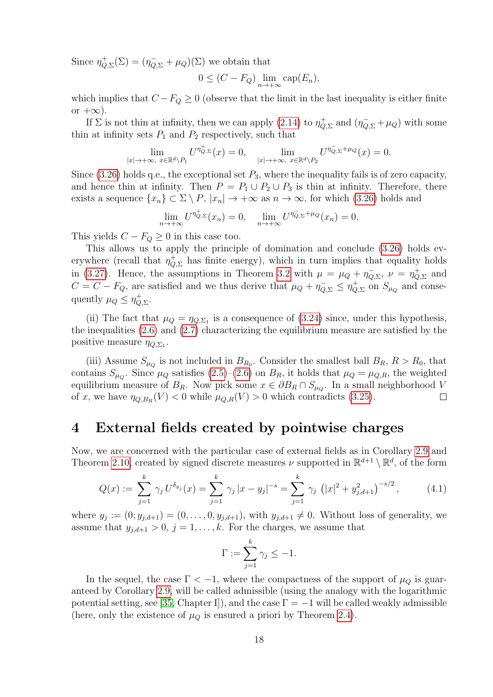Since  $\eta_{\mathcal{O}}^+$  $\phi_{Q,\Sigma}^{+}(\Sigma) = (\eta_{Q,\Sigma}^{-} + \mu_Q)(\Sigma)$  we obtain that

$$
0 \le (C - F_Q) \lim_{n \to +\infty} \text{cap}(E_n),
$$

which implies that  $C - F_Q \geq 0$  (observe that the limit in the last inequality is either finite or  $+\infty$ ).

If  $\Sigma$  is not thin at infinity, then we can apply [\(2.14\)](#page-5-5) to  $\eta_{\mathcal{O}}^+$  $\psi_{Q,\Sigma}^+$  and  $(\eta_{Q,\Sigma}^- + \mu_Q)$  with some thin at infinity sets  $P_1$  and  $P_2$  respectively, such that

$$
\lim_{|x|\to+\infty,\ x\in\mathbb{R}^d\setminus P_1}U^{\eta_{Q,\Sigma}^+}(x)=0,\quad \lim_{|x|\to+\infty,\ x\in\mathbb{R}^d\setminus P_2}U^{\eta_{Q,\Sigma}^-+\mu_Q}(x)=0.
$$

Since  $(3.26)$  holds q.e., the exceptional set  $P_3$ , where the inequality fails is of zero capacity, and hence thin at infinity. Then  $P = P_1 \cup P_2 \cup P_3$  is thin at infinity. Therefore, there exists a sequence  $\{x_n\} \subset \Sigma \setminus P$ ,  $|x_n| \to +\infty$  as  $n \to \infty$ , for which [\(3.26\)](#page-16-0) holds and

$$
\lim_{n \to +\infty} U^{\eta_{Q,\Sigma}^+}(x_n) = 0, \quad \lim_{n \to +\infty} U^{\eta_{Q,\Sigma}^- + \mu_Q}(x_n) = 0.
$$

This yields  $C - F_Q \geq 0$  in this case too.

This allows us to apply the principle of domination and conclude [\(3.26\)](#page-16-0) holds everywhere (recall that  $\eta_{Q,\Sigma}^+$  has finite energy), which in turn implies that equality holds in [\(3.27\)](#page-16-1). Hence, the assumptions in Theorem [3.2](#page-7-2) with  $\mu = \mu_Q + \eta_Q^{-1}$  $\bar{Q}, \Sigma$ ,  $\nu = \eta_Q^+$  $\phi_{Q,\Sigma}^+$  and  $C = C - F_Q$ , are satisfied and we thus derive that  $\mu_Q + \eta_{Q,\Sigma}^- \leq \eta_Q^+$  $\chi_{Q,\Sigma}^+$  on  $S_{\mu_Q}$  and consequently  $\mu_Q \leq \eta_Q^+$  $_{Q,\Sigma}^+$ 

(ii) The fact that  $\mu_Q = \eta_{Q,\Sigma_1}$  is a consequence of [\(3.24\)](#page-15-1) since, under this hypothesis, the inequalities [\(2.6\)](#page-3-4) and [\(2.7\)](#page-3-5) characterizing the equilibrium measure are satisfied by the positive measure  $\eta_{Q,\Sigma_1}$ .

(iii) Assume  $S_{\mu_Q}$  is not included in  $B_{R_0}$ . Consider the smallest ball  $B_R$ ,  $R > R_0$ , that contains  $S_{\mu_Q}$ . Since  $\mu_Q$  satisfies  $(2.5)-(2.6)$  $(2.5)-(2.6)$  on  $B_R$ , it holds that  $\mu_Q = \mu_{Q,R}$ , the weighted equilibrium measure of  $B_R$ . Now pick some  $x \in \partial B_R \cap S_{\mu_Q}$ . In a small neighborhood V of x, we have  $\eta_{Q,B_R}(V) < 0$  while  $\mu_{Q,R}(V) > 0$  which contradicts [\(3.25\)](#page-16-2).  $\Box$ 

### <span id="page-17-0"></span>4 External fields created by pointwise charges

Now, we are concerned with the particular case of external fields as in Corollary [2.9](#page-6-2) and Theorem [2.10,](#page-6-1) created by signed discrete measures  $\nu$  supported in  $\mathbb{R}^{d+1} \setminus \mathbb{R}^d$ , of the form

<span id="page-17-1"></span>
$$
Q(x) := \sum_{j=1}^{k} \gamma_j U^{\delta_{y_j}}(x) = \sum_{j=1}^{k} \gamma_j |x - y_j|^{-s} = \sum_{j=1}^{k} \gamma_j (|x|^2 + y_{j,d+1}^2)^{-s/2}, \quad (4.1)
$$

where  $y_j := (0, y_{j,d+1}) = (0, \ldots, 0, y_{j,d+1})$ , with  $y_{j,d+1} \neq 0$ . Without loss of generality, we assume that  $y_{j,d+1} > 0$ ,  $j = 1, ..., k$ . For the charges, we assume that

$$
\Gamma := \sum_{j=1}^k \gamma_j \le -1.
$$

In the sequel, the case  $\Gamma < -1$ , where the compactness of the support of  $\mu_{\mathcal{Q}}$  is guaranteed by Corollary [2.9,](#page-6-2) will be called admissible (using the analogy with the logarithmic potential setting, see [\[35,](#page-35-1) Chapter I]), and the case  $\Gamma = -1$  will be called weakly admissible (here, only the existence of  $\mu_Q$  is ensured a priori by Theorem [2.4\)](#page-4-2).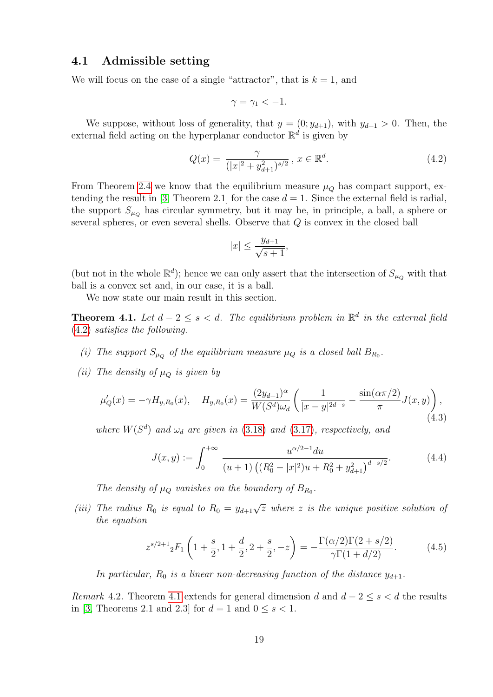#### 4.1 Admissible setting

We will focus on the case of a single "attractor", that is  $k = 1$ , and

$$
\gamma = \gamma_1 < -1.
$$

We suppose, without loss of generality, that  $y = (0; y_{d+1})$ , with  $y_{d+1} > 0$ . Then, the external field acting on the hyperplanar conductor  $\mathbb{R}^d$  is given by

<span id="page-18-0"></span>
$$
Q(x) = \frac{\gamma}{(|x|^2 + y_{d+1}^2)^{s/2}}, \, x \in \mathbb{R}^d. \tag{4.2}
$$

From Theorem [2.4](#page-4-2) we know that the equilibrium measure  $\mu<sub>O</sub>$  has compact support, ex-tending the result in [\[3,](#page-34-4) Theorem 2.1] for the case  $d = 1$ . Since the external field is radial, the support  $S_{\mu_Q}$  has circular symmetry, but it may be, in principle, a ball, a sphere or several spheres, or even several shells. Observe that  $Q$  is convex in the closed ball

$$
|x| \le \frac{y_{d+1}}{\sqrt{s+1}},
$$

(but not in the whole  $\mathbb{R}^d$ ); hence we can only assert that the intersection of  $S_{\mu_Q}$  with that ball is a convex set and, in our case, it is a ball.

We now state our main result in this section.

<span id="page-18-1"></span>**Theorem 4.1.** Let  $d-2 \leq s < d$ . The equilibrium problem in  $\mathbb{R}^d$  in the external field [\(4.2\)](#page-18-0) satisfies the following.

- (i) The support  $S_{\mu_Q}$  of the equilibrium measure  $\mu_Q$  is a closed ball  $B_{R_0}$ .
- (ii) The density of  $\mu_Q$  is given by

<span id="page-18-2"></span>
$$
\mu'_Q(x) = -\gamma H_{y,R_0}(x), \quad H_{y,R_0}(x) = \frac{(2y_{d+1})^\alpha}{W(S^d)\omega_d} \left(\frac{1}{|x-y|^{2d-s}} - \frac{\sin(\alpha \pi/2)}{\pi} J(x,y)\right),\tag{4.3}
$$

where  $W(S^d)$  and  $\omega_d$  are given in [\(3.18\)](#page-14-2) and [\(3.17\)](#page-14-3), respectively, and

<span id="page-18-3"></span>
$$
J(x,y) := \int_0^{+\infty} \frac{u^{\alpha/2 - 1} du}{(u+1) \left( (R_0^2 - |x|^2)u + R_0^2 + y_{d+1}^2 \right)^{d-s/2}}.
$$
 (4.4)

The density of  $\mu_Q$  vanishes on the boundary of  $B_{R_0}$ .

(iii) The radius  $R_0$  is equal to  $R_0 = y_{d+1}\sqrt{z}$  where z is the unique positive solution of the equation

<span id="page-18-4"></span>
$$
z^{s/2+1} {}_2F_1\left(1+\frac{s}{2}, 1+\frac{d}{2}, 2+\frac{s}{2}, -z\right) = -\frac{\Gamma(\alpha/2)\Gamma(2+s/2)}{\gamma\Gamma(1+d/2)}.\tag{4.5}
$$

In particular,  $R_0$  is a linear non-decreasing function of the distance  $y_{d+1}$ .

Remark 4.2. Theorem [4.1](#page-18-1) extends for general dimension d and  $d-2 \leq s < d$  the results in [\[3,](#page-34-4) Theorems 2.1 and 2.3] for  $d = 1$  and  $0 \leq s < 1$ .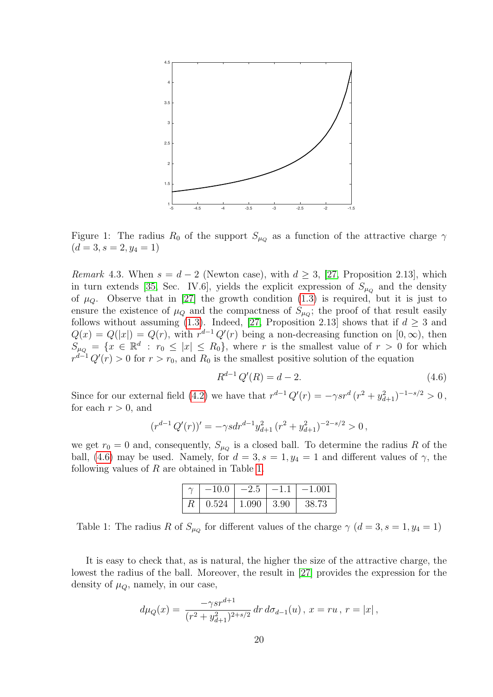

Figure 1: The radius  $R_0$  of the support  $S_{\mu_Q}$  as a function of the attractive charge  $\gamma$  $(d = 3, s = 2, y_4 = 1)$ 

*Remark* 4.3. When  $s = d - 2$  (Newton case), with  $d \geq 3$ , [\[27,](#page-35-10) Proposition 2.13], which in turn extends [\[35,](#page-35-1) Sec. IV.6], yields the explicit expression of  $S_{\mu_Q}$  and the density of  $\mu_Q$ . Observe that in [\[27\]](#page-35-10) the growth condition [\(1.3\)](#page-1-1) is required, but it is just to ensure the existence of  $\mu_Q$  and the compactness of  $S_{\mu_Q}$ ; the proof of that result easily follows without assuming [\(1.3\)](#page-1-1). Indeed, [\[27,](#page-35-10) Proposition 2.13] shows that if  $d \geq 3$  and  $Q(x) = Q(|x|) = Q(r)$ , with  $r^{d-1} Q'(r)$  being a non-decreasing function on  $[0, \infty)$ , then  $S_{\mu_Q} = \{x \in \mathbb{R}^d : r_0 \leq |x| \leq R_0\}$ , where r is the smallest value of  $r > 0$  for which  $r^{d-1}Q'(r) > 0$  for  $r > r_0$ , and  $R_0$  is the smallest positive solution of the equation

<span id="page-19-0"></span>
$$
R^{d-1} Q'(R) = d - 2.
$$
\n(4.6)

Since for our external field [\(4.2\)](#page-18-0) we have that  $r^{d-1} Q'(r) = -\gamma s r^d (r^2 + y_{d+1}^2)^{-1-s/2} > 0$ , for each  $r > 0$ , and

$$
(r^{d-1} Q'(r))' = -\gamma s dr^{d-1} y_{d+1}^2 (r^2 + y_{d+1}^2)^{-2-s/2} > 0,
$$

we get  $r_0 = 0$  and, consequently,  $S_{\mu_Q}$  is a closed ball. To determine the radius R of the ball, [\(4.6\)](#page-19-0) may be used. Namely, for  $d = 3$ ,  $s = 1$ ,  $y_4 = 1$  and different values of  $\gamma$ , the following values of R are obtained in Table [1.](#page-19-1)

|                               | $-10.0$ | $-2.5$           | $-1.1$ | $-1.001$ |
|-------------------------------|---------|------------------|--------|----------|
| $R_{\scriptscriptstyle\perp}$ | 0.524   | $1.090$   $3.90$ |        | 38.73    |

<span id="page-19-1"></span>Table 1: The radius R of  $S_{\mu_Q}$  for different values of the charge  $\gamma$   $(d=3, s=1, y_4=1)$ 

It is easy to check that, as is natural, the higher the size of the attractive charge, the lowest the radius of the ball. Moreover, the result in [\[27\]](#page-35-10) provides the expression for the density of  $\mu_O$ , namely, in our case,

$$
d\mu_Q(x) = \frac{-\gamma s r^{d+1}}{(r^2 + y_{d+1}^2)^{2+s/2}} dr d\sigma_{d-1}(u), x = ru, r = |x|,
$$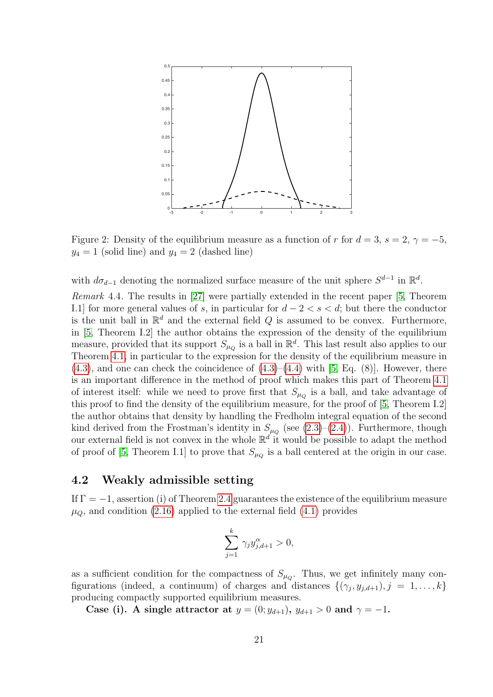

Figure 2: Density of the equilibrium measure as a function of r for  $d = 3$ ,  $s = 2$ ,  $\gamma = -5$ ,  $y_4 = 1$  (solid line) and  $y_4 = 2$  (dashed line)

with  $d\sigma_{d-1}$  denoting the normalized surface measure of the unit sphere  $S^{d-1}$  in  $\mathbb{R}^d$ .

Remark 4.4. The results in [\[27\]](#page-35-10) were partially extended in the recent paper [\[5,](#page-34-14) Theorem I.1] for more general values of s, in particular for  $d-2 < s < d$ ; but there the conductor is the unit ball in  $\mathbb{R}^d$  and the external field Q is assumed to be convex. Furthermore, in [\[5,](#page-34-14) Theorem I.2] the author obtains the expression of the density of the equilibrium measure, provided that its support  $S_{\mu_Q}$  is a ball in  $\mathbb{R}^d$ . This last result also applies to our Theorem [4.1,](#page-18-1) in particular to the expression for the density of the equilibrium measure in  $(4.3)$ , and one can check the coincidence of  $(4.3)$ – $(4.4)$  with [\[5,](#page-34-14) Eq.  $(8)$ ]. However, there is an important difference in the method of proof which makes this part of Theorem [4.1](#page-18-1) of interest itself: while we need to prove first that  $S_{\mu_Q}$  is a ball, and take advantage of this proof to find the density of the equilibrium measure, for the proof of [\[5,](#page-34-14) Theorem I.2] the author obtains that density by handling the Fredholm integral equation of the second kind derived from the Frostman's identity in  $S_{\mu_Q}$  (see [\(2.3\)](#page-3-2)–[\(2.4\)](#page-3-3)). Furthermore, though our external field is not convex in the whole  $\mathbb{R}^d$  it would be possible to adapt the method of proof of [\[5,](#page-34-14) Theorem I.1] to prove that  $S_{\mu_Q}$  is a ball centered at the origin in our case.

#### <span id="page-20-0"></span>4.2 Weakly admissible setting

If  $\Gamma = -1$ , assertion (i) of Theorem [2.4](#page-4-2) guarantees the existence of the equilibrium measure  $\mu_{\mathcal{O}}$ , and condition [\(2.16\)](#page-6-3) applied to the external field [\(4.1\)](#page-17-1) provides

$$
\sum_{j=1}^k \gamma_j y_{j,d+1}^\alpha > 0,
$$

as a sufficient condition for the compactness of  $S_{\mu_Q}$ . Thus, we get infinitely many configurations (indeed, a continuum) of charges and distances  $\{(\gamma_j, y_{j,d+1}), j = 1, \ldots, k\}$ producing compactly supported equilibrium measures.

Case (i). A single attractor at  $y = (0; y_{d+1}), y_{d+1} > 0$  and  $\gamma = -1$ .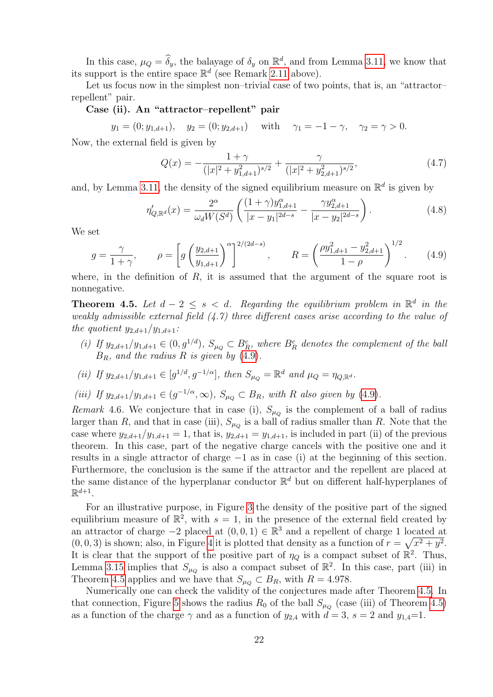In this case,  $\mu_Q = \hat{\delta}_y$ , the balayage of  $\delta_y$  on  $\mathbb{R}^d$ , and from Lemma [3.11,](#page-14-0) we know that its support is the entire space  $\mathbb{R}^d$  (see Remark [2.11](#page-6-4) above).

Let us focus now in the simplest non–trivial case of two points, that is, an "attractor– repellent" pair.

#### Case (ii). An "attractor–repellent" pair

 $y_1 = (0; y_{1,d+1}), \quad y_2 = (0; y_{2,d+1}) \quad \text{with} \quad \gamma_1 = -1 - \gamma, \quad \gamma_2 = \gamma > 0.$ 

Now, the external field is given by

$$
Q(x) = -\frac{1+\gamma}{(|x|^2 + y_{1,d+1}^2)^{s/2}} + \frac{\gamma}{(|x|^2 + y_{2,d+1}^2)^{s/2}},\tag{4.7}
$$

and, by Lemma [3.11,](#page-14-0) the density of the signed equilibrium measure on  $\mathbb{R}^d$  is given by

<span id="page-21-2"></span>
$$
\eta'_{Q,\mathbb{R}^d}(x) = \frac{2^{\alpha}}{\omega_d W(S^d)} \left( \frac{(1+\gamma)y_{1,d+1}^{\alpha}}{|x-y_1|^{2d-s}} - \frac{\gamma y_{2,d+1}^{\alpha}}{|x-y_2|^{2d-s}} \right).
$$
\n(4.8)

We set

<span id="page-21-0"></span>
$$
g = \frac{\gamma}{1+\gamma}, \qquad \rho = \left[ g \left( \frac{y_{2,d+1}}{y_{1,d+1}} \right)^{\alpha} \right]^{2/(2d-s)}, \qquad R = \left( \frac{\rho y_{1,d+1}^2 - y_{2,d+1}^2}{1-\rho} \right)^{1/2}.
$$
 (4.9)

where, in the definition of  $R$ , it is assumed that the argument of the square root is nonnegative.

<span id="page-21-1"></span>**Theorem 4.5.** Let  $d-2 \leq s < d$ . Regarding the equilibrium problem in  $\mathbb{R}^d$  in the weakly admissible external field  $(4.7)$  three different cases arise according to the value of the quotient  $y_{2,d+1}/y_{1,d+1}$ :

(i) If  $y_{2,d+1}/y_{1,d+1} \in (0,g^{1/d})$ ,  $S_{\mu_Q} \subset B_R^c$ , where  $B_R^c$  denotes the complement of the ball  $B_R$ , and the radius R is given by [\(4.9\)](#page-21-0).

(ii) If 
$$
y_{2,d+1}/y_{1,d+1} \in [g^{1/d}, g^{-1/\alpha}]
$$
, then  $S_{\mu_Q} = \mathbb{R}^d$  and  $\mu_Q = \eta_{Q,\mathbb{R}^d}$ .

(iii) If  $y_{2,d+1}/y_{1,d+1} \in (g^{-1/\alpha}, \infty)$ ,  $S_{\mu_Q} \subset B_R$ , with R also given by [\(4.9\)](#page-21-0).

Remark 4.6. We conjecture that in case (i),  $S_{\mu_Q}$  is the complement of a ball of radius larger than R, and that in case (iii),  $S_{\mu_Q}$  is a ball of radius smaller than R. Note that the case where  $y_{2,d+1}/y_{1,d+1} = 1$ , that is,  $y_{2,d+1} = y_{1,d+1}$ , is included in part (ii) of the previous theorem. In this case, part of the negative charge cancels with the positive one and it results in a single attractor of charge −1 as in case (i) at the beginning of this section. Furthermore, the conclusion is the same if the attractor and the repellent are placed at the same distance of the hyperplanar conductor  $\mathbb{R}^d$  but on different half-hyperplanes of  $\mathbb{R}^{d+1}$ .

For an illustrative purpose, in Figure [3](#page-22-1) the density of the positive part of the signed equilibrium measure of  $\mathbb{R}^2$ , with  $s=1$ , in the presence of the external field created by an attractor of charge  $-2$  placed at  $(0,0,1) \in \mathbb{R}^3$  and a repellent of charge 1 located at  $(0, 0, 3)$  is shown; also, in Figure [4](#page-22-2) it is plotted that density as a function of  $r = \sqrt{x^2 + y^2}$ . It is clear that the support of the positive part of  $\eta_Q$  is a compact subset of  $\mathbb{R}^2$ . Thus, Lemma [3.15](#page-16-3) implies that  $S_{\mu_Q}$  is also a compact subset of  $\mathbb{R}^2$ . In this case, part (iii) in Theorem [4.5](#page-21-1) applies and we have that  $S_{\mu_Q} \subset B_R$ , with  $R = 4.978$ .

Numerically one can check the validity of the conjectures made after Theorem [4.5.](#page-21-1) In that connection, Figure [5](#page-23-0) shows the radius  $R_0$  of the ball  $S_{\mu_Q}$  (case (iii) of Theorem [4.5\)](#page-21-1) as a function of the charge  $\gamma$  and as a function of  $y_{2,4}$  with  $d=3$ ,  $s=2$  and  $y_{1,4}=1$ .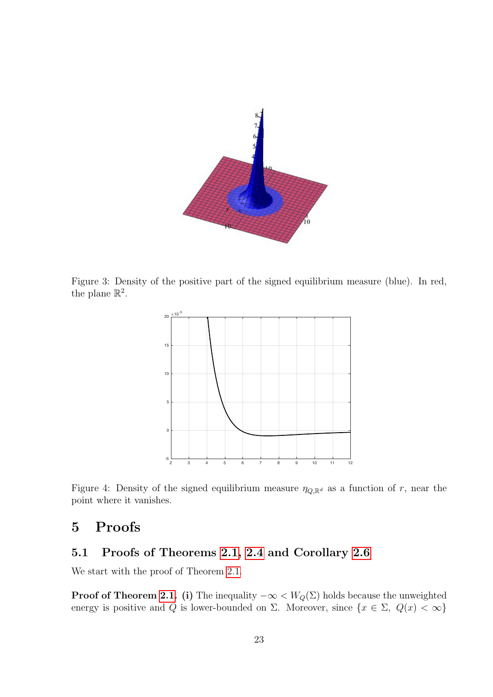

<span id="page-22-1"></span>Figure 3: Density of the positive part of the signed equilibrium measure (blue). In red, the plane  $\mathbb{R}^2$ .



<span id="page-22-2"></span>Figure 4: Density of the signed equilibrium measure  $\eta_{Q,\mathbb{R}^d}$  as a function of r, near the point where it vanishes.

## <span id="page-22-0"></span>5 Proofs

### 5.1 Proofs of Theorems [2.1,](#page-3-0) [2.4](#page-4-2) and Corollary [2.6](#page-5-3)

We start with the proof of Theorem [2.1.](#page-3-0)

**Proof of Theorem [2.1.](#page-3-0)** (i) The inequality  $-\infty < W_Q(\Sigma)$  holds because the unweighted energy is positive and Q is lower-bounded on  $\Sigma$ . Moreover, since  $\{x \in \Sigma, Q(x) < \infty\}$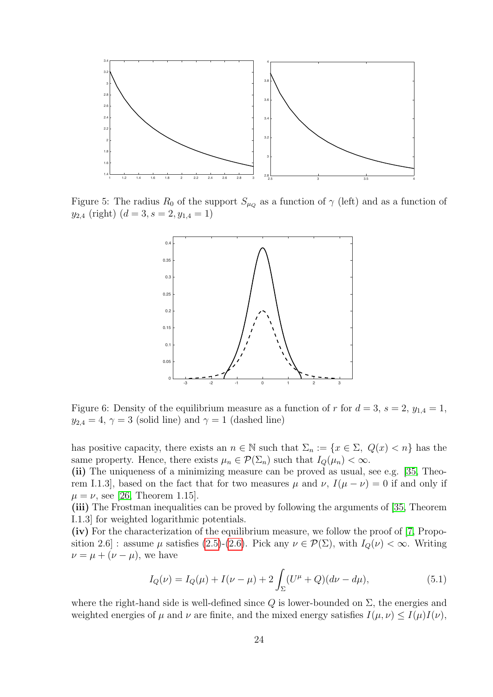

<span id="page-23-0"></span>Figure 5: The radius  $R_0$  of the support  $S_{\mu_Q}$  as a function of  $\gamma$  (left) and as a function of  $y_{2,4}$  (right)  $(d = 3, s = 2, y_{1,4} = 1)$ 



Figure 6: Density of the equilibrium measure as a function of r for  $d = 3$ ,  $s = 2$ ,  $y_{1,4} = 1$ ,  $y_{2,4} = 4$ ,  $\gamma = 3$  (solid line) and  $\gamma = 1$  (dashed line)

has positive capacity, there exists an  $n \in \mathbb{N}$  such that  $\Sigma_n := \{x \in \Sigma, Q(x) < n\}$  has the same property. Hence, there exists  $\mu_n \in \mathcal{P}(\Sigma_n)$  such that  $I_Q(\mu_n) < \infty$ .

(ii) The uniqueness of a minimizing measure can be proved as usual, see e.g. [\[35,](#page-35-1) Theorem I.1.3], based on the fact that for two measures  $\mu$  and  $\nu$ ,  $I(\mu - \nu) = 0$  if and only if  $\mu = \nu$ , see [\[26,](#page-35-0) Theorem 1.15].

(iii) The Frostman inequalities can be proved by following the arguments of [\[35,](#page-35-1) Theorem I.1.3] for weighted logarithmic potentials.

(iv) For the characterization of the equilibrium measure, we follow the proof of [\[7,](#page-34-15) Proposition 2.6] : assume  $\mu$  satisfies [\(2.5\)](#page-3-1)-[\(2.6\)](#page-3-4). Pick any  $\nu \in \mathcal{P}(\Sigma)$ , with  $I_Q(\nu) < \infty$ . Writing  $\nu = \mu + (\nu - \mu)$ , we have

<span id="page-23-1"></span>
$$
I_Q(\nu) = I_Q(\mu) + I(\nu - \mu) + 2 \int_{\Sigma} (U^{\mu} + Q)(d\nu - d\mu), \tag{5.1}
$$

where the right-hand side is well-defined since  $Q$  is lower-bounded on  $\Sigma$ , the energies and weighted energies of  $\mu$  and  $\nu$  are finite, and the mixed energy satisfies  $I(\mu, \nu) \leq I(\mu)I(\nu)$ ,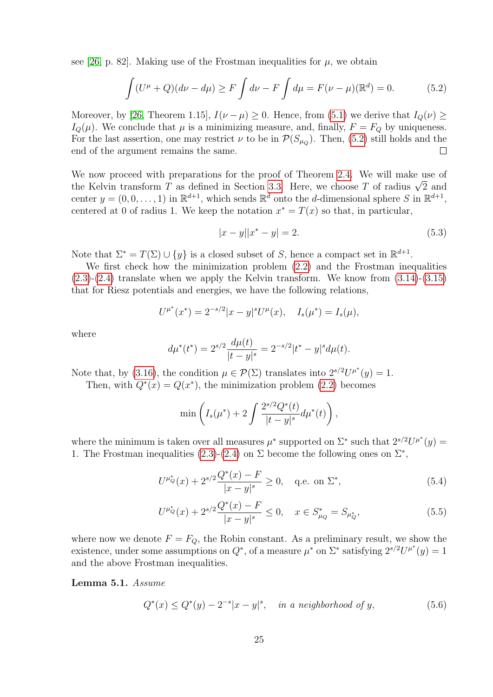see [\[26,](#page-35-0) p. 82]. Making use of the Frostman inequalities for  $\mu$ , we obtain

<span id="page-24-0"></span>
$$
\int (U^{\mu} + Q)(d\nu - d\mu) \ge F \int d\nu - F \int d\mu = F(\nu - \mu)(\mathbb{R}^{d}) = 0.
$$
 (5.2)

Moreover, by [\[26,](#page-35-0) Theorem 1.15],  $I(\nu - \mu) \geq 0$ . Hence, from [\(5.1\)](#page-23-1) we derive that  $I_Q(\nu) \geq$  $I_Q(\mu)$ . We conclude that  $\mu$  is a minimizing measure, and, finally,  $F = F_Q$  by uniqueness. For the last assertion, one may restrict  $\nu$  to be in  $\mathcal{P}(S_{\mu_Q})$ . Then, [\(5.2\)](#page-24-0) still holds and the end of the argument remains the same.  $\Box$ 

We now proceed with preparations for the proof of Theorem [2.4.](#page-4-2) We will make use of we now proceed with preparations for the proof of Theorem 2.4. We will make use of the Kelvin transform T as defined in Section [3.3.](#page-13-2) Here, we choose T of radius  $\sqrt{2}$  and center  $y = (0, 0, \ldots, 1)$  in  $\mathbb{R}^{d+1}$ , which sends  $\mathbb{R}^d$  onto the *d*-dimensional sphere S in  $\mathbb{R}^{d+1}$ , centered at 0 of radius 1. We keep the notation  $x^* = T(x)$  so that, in particular,

<span id="page-24-3"></span>
$$
|x - y||x^* - y| = 2.
$$
\n(5.3)

Note that  $\Sigma^* = T(\Sigma) \cup \{y\}$  is a closed subset of S, hence a compact set in  $\mathbb{R}^{d+1}$ .

We first check how the minimization problem [\(2.2\)](#page-2-3) and the Frostman inequalities  $(2.3)-(2.4)$  $(2.3)-(2.4)$  $(2.3)-(2.4)$  translate when we apply the Kelvin transform. We know from  $(3.14)-(3.15)$  $(3.14)-(3.15)$ that for Riesz potentials and energies, we have the following relations,

$$
U^{\mu^*}(x^*) = 2^{-s/2}|x - y|^s U^{\mu}(x), \quad I_s(\mu^*) = I_s(\mu),
$$

where

$$
d\mu^*(t^*) = 2^{s/2} \frac{d\mu(t)}{|t - y|^s} = 2^{-s/2} |t^* - y|^s d\mu(t).
$$

Note that, by [\(3.16\)](#page-14-6), the condition  $\mu \in \mathcal{P}(\Sigma)$  translates into  $2^{s/2}U^{\mu^*}(y) = 1$ .

Then, with  $Q^*(x) = Q(x^*)$ , the minimization problem [\(2.2\)](#page-2-3) becomes

<span id="page-24-5"></span><span id="page-24-4"></span>
$$
\min\left(I_s(\mu^*) + 2\int \frac{2^{s/2}Q^*(t)}{|t-y|^s}d\mu^*(t)\right),\,
$$

where the minimum is taken over all measures  $\mu^*$  supported on  $\Sigma^*$  such that  $2^{s/2}U^{\mu^*}(y) =$ 1. The Frostman inequalities [\(2.3\)](#page-3-2)-[\(2.4\)](#page-3-3) on  $\Sigma$  become the following ones on  $\Sigma^*$ ,

$$
U^{\mu_Q^*}(x) + 2^{s/2} \frac{Q^*(x) - F}{|x - y|^s} \ge 0, \quad \text{q.e. on } \Sigma^*,\tag{5.4}
$$

$$
U^{\mu_Q^*}(x) + 2^{s/2} \frac{Q^*(x) - F}{|x - y|^s} \le 0, \quad x \in S_{\mu_Q}^* = S_{\mu_Q^*},\tag{5.5}
$$

where now we denote  $F = F_Q$ , the Robin constant. As a preliminary result, we show the existence, under some assumptions on  $Q^*$ , of a measure  $\mu^*$  on  $\Sigma^*$  satisfying  $2^{s/2}U^{\mu^*}(y) = 1$ and the above Frostman inequalities.

<span id="page-24-1"></span>Lemma 5.1. Assume

<span id="page-24-2"></span>
$$
Q^*(x) \le Q^*(y) - 2^{-s}|x - y|^s, \quad \text{in a neighborhood of } y,\tag{5.6}
$$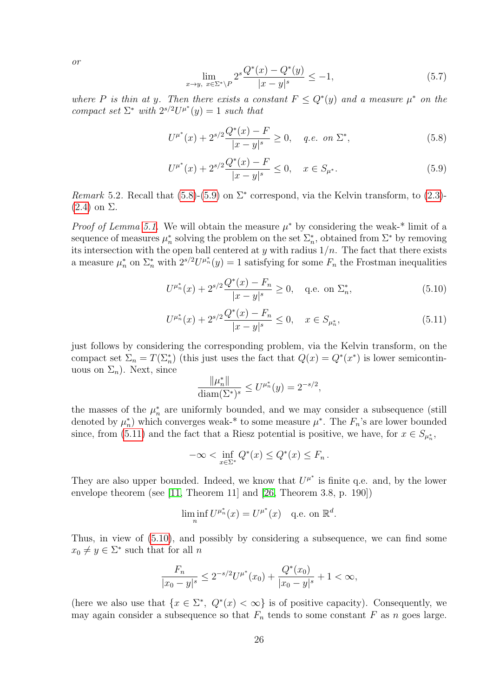or

<span id="page-25-4"></span><span id="page-25-1"></span><span id="page-25-0"></span>
$$
\lim_{x \to y, \ x \in \Sigma^* \setminus P} 2^s \frac{Q^*(x) - Q^*(y)}{|x - y|^s} \le -1,\tag{5.7}
$$

where P is thin at y. Then there exists a constant  $F \leq Q^*(y)$  and a measure  $\mu^*$  on the compact set  $\Sigma^*$  with  $2^{s/2}U^{\mu^*}(y) = 1$  such that

$$
U^{\mu^*}(x) + 2^{s/2} \frac{Q^*(x) - F}{|x - y|^s} \ge 0, \quad q.e. \text{ on } \Sigma^*,
$$
\n(5.8)

$$
U^{\mu^*}(x) + 2^{s/2} \frac{Q^*(x) - F}{|x - y|^s} \le 0, \quad x \in S_{\mu^*}.
$$
\n(5.9)

Remark 5.2. Recall that  $(5.8)$ - $(5.9)$  on  $\Sigma^*$  correspond, via the Kelvin transform, to  $(2.3)$ - $(2.4)$  on  $\Sigma$ .

*Proof of Lemma [5.1.](#page-24-1)* We will obtain the measure  $\mu^*$  by considering the weak-\* limit of a sequence of measures  $\mu_n^*$  solving the problem on the set  $\Sigma_n^*$ , obtained from  $\Sigma^*$  by removing its intersection with the open ball centered at y with radius  $1/n$ . The fact that there exists a measure  $\mu_n^*$  on  $\Sigma_n^*$  with  $2^{s/2}U^{\mu_n^*}(y) = 1$  satisfying for some  $F_n$  the Frostman inequalities

$$
U^{\mu_n^*}(x) + 2^{s/2} \frac{Q^*(x) - F_n}{|x - y|^s} \ge 0, \quad \text{q.e. on } \Sigma_n^*,\tag{5.10}
$$

$$
U^{\mu_n^*}(x) + 2^{s/2} \frac{Q^*(x) - F_n}{|x - y|^s} \le 0, \quad x \in S_{\mu_n^*},\tag{5.11}
$$

just follows by considering the corresponding problem, via the Kelvin transform, on the compact set  $\Sigma_n = T(\Sigma_n^*)$  (this just uses the fact that  $Q(x) = Q^*(x^*)$  is lower semicontinuous on  $\Sigma_n$ ). Next, since

<span id="page-25-3"></span><span id="page-25-2"></span>
$$
\frac{\|\mu_n^*\|}{\text{diam}(\Sigma^*)^s} \le U^{\mu_n^*}(y) = 2^{-s/2},
$$

the masses of the  $\mu_n^*$  are uniformly bounded, and we may consider a subsequence (still denoted by  $\mu_n^*$ ) which converges weak-\* to some measure  $\mu^*$ . The  $F_n$ 's are lower bounded since, from [\(5.11\)](#page-25-2) and the fact that a Riesz potential is positive, we have, for  $x \in S_{\mu_n^*}$ ,

$$
-\infty < \inf_{x \in \Sigma^*} Q^*(x) \le Q^*(x) \le F_n \, .
$$

They are also upper bounded. Indeed, we know that  $U^{\mu^*}$  is finite q.e. and, by the lower envelope theorem (see [\[11,](#page-34-16) Theorem 11] and [\[26,](#page-35-0) Theorem 3.8, p. 190])

$$
\liminf_n U^{\mu_n^*}(x) = U^{\mu^*}(x) \quad \text{q.e. on } \mathbb{R}^d.
$$

Thus, in view of [\(5.10\)](#page-25-3), and possibly by considering a subsequence, we can find some  $x_0 \neq y \in \Sigma^*$  such that for all n

$$
\frac{F_n}{|x_0 - y|^s} \le 2^{-s/2} U^{\mu^*}(x_0) + \frac{Q^*(x_0)}{|x_0 - y|^s} + 1 < \infty,
$$

(here we also use that  $\{x \in \Sigma^*, Q^*(x) < \infty\}$  is of positive capacity). Consequently, we may again consider a subsequence so that  $F_n$  tends to some constant F as n goes large.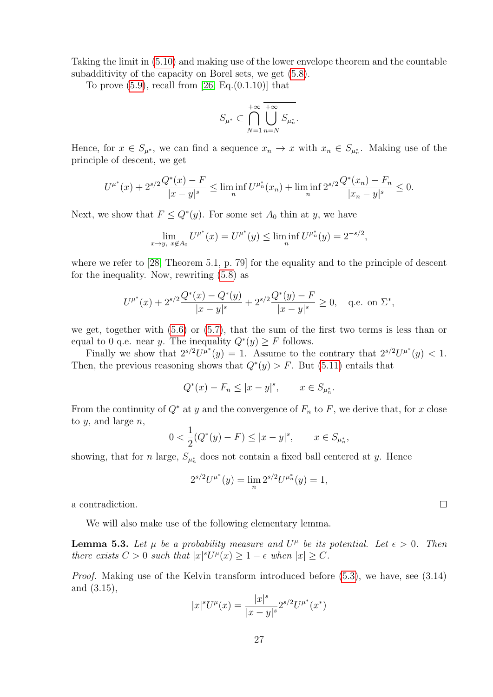Taking the limit in [\(5.10\)](#page-25-3) and making use of the lower envelope theorem and the countable subadditivity of the capacity on Borel sets, we get [\(5.8\)](#page-25-0).

To prove  $(5.9)$ , recall from [\[26,](#page-35-0) Eq. $(0.1.10)$ ] that

$$
S_{\mu^*}\subset \bigcap_{N=1}^{+\infty}\bigcup_{n=N}^{+\infty}S_{\mu_n^*}.
$$

Hence, for  $x \in S_{\mu^*}$ , we can find a sequence  $x_n \to x$  with  $x_n \in S_{\mu_n^*}$ . Making use of the principle of descent, we get

$$
U^{\mu^*}(x) + 2^{s/2} \frac{Q^*(x) - F}{|x - y|^s} \le \liminf_n U^{\mu_n^*}(x_n) + \liminf_n 2^{s/2} \frac{Q^*(x_n) - F_n}{|x_n - y|^s} \le 0.
$$

Next, we show that  $F \leq Q^*(y)$ . For some set  $A_0$  thin at y, we have

$$
\lim_{x \to y, x \notin A_0} U^{\mu^*}(x) = U^{\mu^*}(y) \le \liminf_n U^{\mu_n^*}(y) = 2^{-s/2},
$$

where we refer to [\[28,](#page-35-8) Theorem 5.1, p. 79] for the equality and to the principle of descent for the inequality. Now, rewriting [\(5.8\)](#page-25-0) as

$$
U^{\mu^*}(x) + 2^{s/2} \frac{Q^*(x) - Q^*(y)}{|x - y|^s} + 2^{s/2} \frac{Q^*(y) - F}{|x - y|^s} \ge 0, \quad \text{q.e. on } \Sigma^*,
$$

we get, together with  $(5.6)$  or  $(5.7)$ , that the sum of the first two terms is less than or equal to 0 q.e. near y. The inequality  $Q^*(y) \geq F$  follows.

Finally we show that  $2^{s/2}U^{\mu^*}(y) = 1$ . Assume to the contrary that  $2^{s/2}U^{\mu^*}(y) < 1$ . Then, the previous reasoning shows that  $Q^*(y) > F$ . But [\(5.11\)](#page-25-2) entails that

$$
Q^*(x) - F_n \le |x - y|^s
$$
,  $x \in S_{\mu_n^*}$ .

From the continuity of  $Q^*$  at y and the convergence of  $F_n$  to F, we derive that, for x close to  $y$ , and large  $n$ ,

$$
0 < \frac{1}{2}(Q^*(y) - F) \le |x - y|^s, \qquad x \in S_{\mu_n^*},
$$

showing, that for *n* large,  $S_{\mu_n^*}$  does not contain a fixed ball centered at *y*. Hence

$$
2^{s/2}U^{\mu^*}(y) = \lim_{n} 2^{s/2}U^{\mu^*_{n}}(y) = 1,
$$

a contradiction.

We will also make use of the following elementary lemma.

<span id="page-26-0"></span>**Lemma 5.3.** Let  $\mu$  be a probability measure and  $U^{\mu}$  be its potential. Let  $\epsilon > 0$ . Then there exists  $C > 0$  such that  $|x|^s U^{\mu}(x) \geq 1 - \epsilon$  when  $|x| \geq C$ .

Proof. Making use of the Kelvin transform introduced before [\(5.3\)](#page-24-3), we have, see (3.14) and (3.15),

$$
|x|^s U^{\mu}(x) = \frac{|x|^s}{|x - y|^s} 2^{s/2} U^{\mu^*}(x^*)
$$

 $\Box$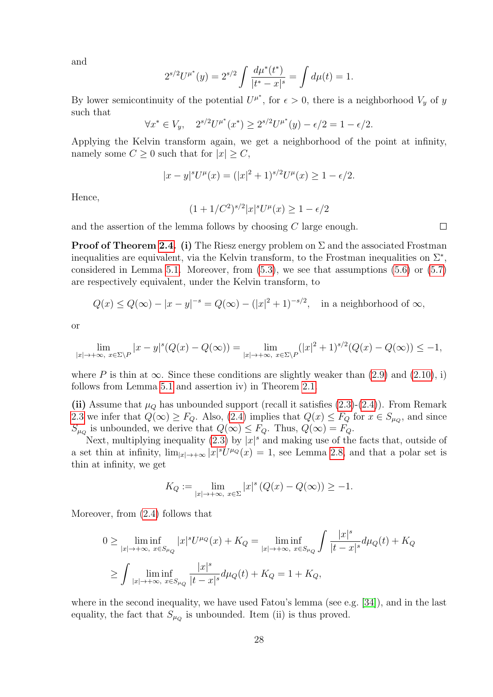and

$$
2^{s/2}U^{\mu^*}(y) = 2^{s/2} \int \frac{d\mu^*(t^*)}{|t^*-x|^s} = \int d\mu(t) = 1.
$$

By lower semicontinuity of the potential  $U^{\mu^*}$ , for  $\epsilon > 0$ , there is a neighborhood  $V_y$  of y such that

$$
\forall x^* \in V_y, \quad 2^{s/2} U^{\mu^*}(x^*) \ge 2^{s/2} U^{\mu^*}(y) - \epsilon/2 = 1 - \epsilon/2.
$$

Applying the Kelvin transform again, we get a neighborhood of the point at infinity, namely some  $C \geq 0$  such that for  $|x| \geq C$ ,

$$
|x - y|^s U^{\mu}(x) = (|x|^2 + 1)^{s/2} U^{\mu}(x) \ge 1 - \epsilon/2.
$$

Hence,

$$
(1 + 1/C^2)^{s/2} |x|^s U^{\mu}(x) \ge 1 - \epsilon/2
$$

and the assertion of the lemma follows by choosing C large enough.

**Proof of Theorem [2.4.](#page-4-2) (i)** The Riesz energy problem on  $\Sigma$  and the associated Frostman inequalities are equivalent, via the Kelvin transform, to the Frostman inequalities on  $\Sigma^*$ , considered in Lemma [5.1.](#page-24-1) Moreover, from  $(5.3)$ , we see that assumptions  $(5.6)$  or  $(5.7)$ are respectively equivalent, under the Kelvin transform, to

$$
Q(x) \le Q(\infty) - |x - y|^{-s} = Q(\infty) - (|x|^2 + 1)^{-s/2}, \quad \text{in a neighborhood of } \infty,
$$

or

$$
\lim_{|x|\to+\infty, \ x\in\Sigma\setminus P} |x-y|^s (Q(x)-Q(\infty)) = \lim_{|x|\to+\infty, \ x\in\Sigma\setminus P} (|x|^2+1)^{s/2} (Q(x)-Q(\infty)) \le -1,
$$

where P is thin at  $\infty$ . Since these conditions are slightly weaker than [\(2.9\)](#page-4-4) and [\(2.10\)](#page-4-3), i) follows from Lemma [5.1](#page-24-1) and assertion iv) in Theorem [2.1.](#page-3-0)

(ii) Assume that  $\mu_Q$  has unbounded support (recall it satisfies  $(2.3)-(2.4)$  $(2.3)-(2.4)$ ). From Remark [2.3](#page-4-5) we infer that  $Q(\infty) \ge F_Q$ . Also, [\(2.4\)](#page-3-3) implies that  $Q(x) \le F_Q$  for  $x \in S_{\mu_Q}$ , and since  $S_{\mu_Q}$  is unbounded, we derive that  $Q(\infty) \leq F_Q$ . Thus,  $Q(\infty) = F_Q$ .

Next, multiplying inequality [\(2.3\)](#page-3-2) by  $|x|^s$  and making use of the facts that, outside of a set thin at infinity,  $\lim_{|x|\to+\infty} |x|^s U^{\mu_Q}(x) = 1$ , see Lemma [2.8,](#page-5-0) and that a polar set is thin at infinity, we get

$$
K_Q := \lim_{|x| \to +\infty, \ x \in \Sigma} |x|^s \left( Q(x) - Q(\infty) \right) \ge -1.
$$

Moreover, from [\(2.4\)](#page-3-3) follows that

$$
0 \ge \liminf_{|x| \to +\infty, \ x \in S_{\mu_Q}} |x|^s U^{\mu_Q}(x) + K_Q = \liminf_{|x| \to +\infty, \ x \in S_{\mu_Q}} \int \frac{|x|^s}{|t - x|^s} d\mu_Q(t) + K_Q
$$
  

$$
\ge \int \liminf_{|x| \to +\infty, \ x \in S_{\mu_Q}} \frac{|x|^s}{|t - x|^s} d\mu_Q(t) + K_Q = 1 + K_Q,
$$

where in the second inequality, we have used Fatou's lemma (see e.g. [\[34\]](#page-35-17)), and in the last equality, the fact that  $S_{\mu_Q}$  is unbounded. Item (ii) is thus proved.

 $\Box$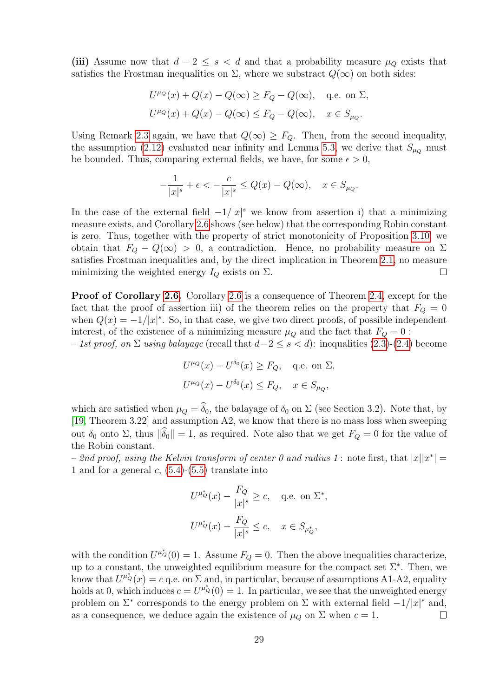(iii) Assume now that  $d-2 \leq s < d$  and that a probability measure  $\mu_Q$  exists that satisfies the Frostman inequalities on  $\Sigma$ , where we substract  $Q(\infty)$  on both sides:

$$
U^{\mu_Q}(x) + Q(x) - Q(\infty) \ge F_Q - Q(\infty), \quad \text{q.e. on } \Sigma,
$$
  

$$
U^{\mu_Q}(x) + Q(x) - Q(\infty) \le F_Q - Q(\infty), \quad x \in S_{\mu_Q}.
$$

Using Remark [2.3](#page-4-5) again, we have that  $Q(\infty) \geq F_Q$ . Then, from the second inequality, the assumption [\(2.12\)](#page-5-2) evaluated near infinity and Lemma [5.3,](#page-26-0) we derive that  $S_{\mu}$  must be bounded. Thus, comparing external fields, we have, for some  $\epsilon > 0$ ,

$$
-\frac{1}{|x|^s} + \epsilon < -\frac{c}{|x|^s} \le Q(x) - Q(\infty), \quad x \in S_{\mu_Q}.
$$

In the case of the external field  $-1/|x|^s$  we know from assertion i) that a minimizing measure exists, and Corollary [2.6](#page-5-3) shows (see below) that the corresponding Robin constant is zero. Thus, together with the property of strict monotonicity of Proposition [3.10,](#page-12-2) we obtain that  $F_Q - Q(\infty) > 0$ , a contradiction. Hence, no probability measure on  $\Sigma$ satisfies Frostman inequalities and, by the direct implication in Theorem [2.1,](#page-3-0) no measure minimizing the weighted energy  $I_Q$  exists on  $\Sigma$ .  $\Box$ 

Proof of Corollary [2.6.](#page-5-3) Corollary [2.6](#page-5-3) is a consequence of Theorem [2.4,](#page-4-2) except for the fact that the proof of assertion iii) of the theorem relies on the property that  $F_Q = 0$ when  $Q(x) = -1/|x|^s$ . So, in that case, we give two direct proofs, of possible independent interest, of the existence of a minimizing measure  $\mu_Q$  and the fact that  $F_Q = 0$ :

 $-1$ st proof, on Σ using balayage (recall that  $d-2 \leq s < d$ ): inequalities [\(2.3\)](#page-3-2)-[\(2.4\)](#page-3-3) become

$$
U^{\mu_Q}(x) - U^{\delta_0}(x) \ge F_Q, \quad \text{q.e. on } \Sigma,
$$
  

$$
U^{\mu_Q}(x) - U^{\delta_0}(x) \le F_Q, \quad x \in S_{\mu_Q},
$$

which are satisfied when  $\mu_Q = \widehat{\delta}_0$ , the balayage of  $\delta_0$  on  $\Sigma$  (see Section 3.2). Note that, by [\[19,](#page-35-15) Theorem 3.22] and assumption A2, we know that there is no mass loss when sweeping out δ<sub>0</sub> onto Σ, thus  $\|\widehat{\delta}_0\|=1$ , as required. Note also that we get  $F_Q=0$  for the value of the Robin constant.

 $-$  2nd proof, using the Kelvin transform of center 0 and radius 1: note first, that  $|x||x^*| =$ 1 and for a general c,  $(5.4)-(5.5)$  $(5.4)-(5.5)$  translate into

$$
U^{\mu_Q^*}(x) - \frac{F_Q}{|x|^s} \ge c, \quad \text{q.e. on } \Sigma^*,
$$
  

$$
U^{\mu_Q^*}(x) - \frac{F_Q}{|x|^s} \le c, \quad x \in S_{\mu_Q^*},
$$

with the condition  $U^{\mu_Q^*}(0) = 1$ . Assume  $F_Q = 0$ . Then the above inequalities characterize, up to a constant, the unweighted equilibrium measure for the compact set  $\Sigma^*$ . Then, we know that  $U^{\mu_Q^*}(x) = c$  q.e. on  $\Sigma$  and, in particular, because of assumptions A1-A2, equality holds at 0, which induces  $c = U^{\mu_Q}(0) = 1$ . In particular, we see that the unweighted energy problem on  $\Sigma^*$  corresponds to the energy problem on  $\Sigma$  with external field  $-1/|x|^s$  and, as a consequence, we deduce again the existence of  $\mu_Q$  on  $\Sigma$  when  $c = 1$ .  $\Box$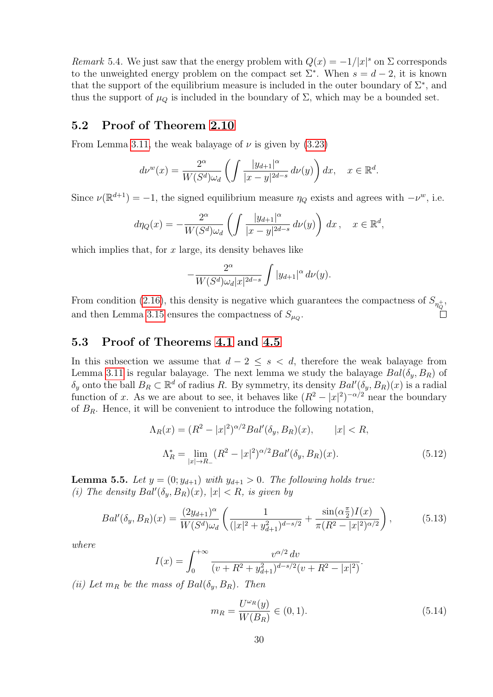<span id="page-29-0"></span>Remark 5.4. We just saw that the energy problem with  $Q(x) = -1/|x|^s$  on  $\Sigma$  corresponds to the unweighted energy problem on the compact set  $\Sigma^*$ . When  $s = d - 2$ , it is known that the support of the equilibrium measure is included in the outer boundary of  $\Sigma^*$ , and thus the support of  $\mu_Q$  is included in the boundary of  $\Sigma$ , which may be a bounded set.

#### 5.2 Proof of Theorem [2.10](#page-6-1)

From Lemma [3.11,](#page-14-0) the weak balayage of  $\nu$  is given by [\(3.23\)](#page-15-0)

$$
d\nu^w(x) = \frac{2^{\alpha}}{W(S^d)\omega_d} \left( \int \frac{|y_{d+1}|^{\alpha}}{|x-y|^{2d-s}} \, d\nu(y) \right) dx, \quad x \in \mathbb{R}^d.
$$

Since  $\nu(\mathbb{R}^{d+1}) = -1$ , the signed equilibrium measure  $\eta_Q$  exists and agrees with  $-\nu^w$ , i.e.

$$
d\eta_Q(x) = -\frac{2^{\alpha}}{W(S^d)\omega_d} \left( \int \frac{|y_{d+1}|^{\alpha}}{|x-y|^{2d-s}} \, d\nu(y) \right) \, dx \,, \quad x \in \mathbb{R}^d,
$$

which implies that, for  $x$  large, its density behaves like

$$
-\frac{2^{\alpha}}{W(S^d)\omega_d|x|^{2d-s}}\int |y_{d+1}|^{\alpha} d\nu(y).
$$

From condition [\(2.16\)](#page-6-3), this density is negative which guarantees the compactness of  $S_{\eta_Q^+}$ , and then Lemma [3.15](#page-16-3) ensures the compactness of  $S_{\mu_Q}$ .

#### 5.3 Proof of Theorems [4.1](#page-18-1) and [4.5](#page-21-1)

In this subsection we assume that  $d-2 \leq s < d$ , therefore the weak balayage from Lemma [3.11](#page-14-0) is regular balayage. The next lemma we study the balayage  $Bal(\delta_y, B_R)$  of  $\delta_y$  onto the ball  $B_R \subset \mathbb{R}^d$  of radius R. By symmetry, its density  $Bal'(\delta_y, B_R)(x)$  is a radial function of x. As we are about to see, it behaves like  $(R^2 - |x|^2)^{-\alpha/2}$  near the boundary of  $B_R$ . Hence, it will be convenient to introduce the following notation,

$$
\Lambda_R(x) = (R^2 - |x|^2)^{\alpha/2} Bal'(\delta_y, B_R)(x), \qquad |x| < R,
$$
\n
$$
\Lambda_R^* = \lim_{|x| \to R_-} (R^2 - |x|^2)^{\alpha/2} Bal'(\delta_y, B_R)(x).
$$
\n(5.12)

**Lemma 5.5.** Let  $y = (0; y_{d+1})$  with  $y_{d+1} > 0$ . The following holds true: (i) The density  $Bal'(\delta_y, B_R)(x)$ ,  $|x| < R$ , is given by

<span id="page-29-2"></span>
$$
Bal'(\delta_y, B_R)(x) = \frac{(2y_{d+1})^{\alpha}}{W(S^d)\omega_d} \left( \frac{1}{(|x|^2 + y_{d+1}^2)^{d-s/2}} + \frac{\sin(\alpha \frac{\pi}{2})I(x)}{\pi (R^2 - |x|^2)^{\alpha/2}} \right),\tag{5.13}
$$

where

$$
I(x) = \int_0^{+\infty} \frac{v^{\alpha/2} dv}{(v + R^2 + y_{d+1}^2)^{d-s/2} (v + R^2 - |x|^2)}.
$$

(ii) Let  $m_R$  be the mass of  $Bal(\delta_u, B_R)$ . Then

<span id="page-29-3"></span><span id="page-29-1"></span>
$$
m_R = \frac{U^{\omega_R}(y)}{W(B_R)} \in (0, 1).
$$
\n(5.14)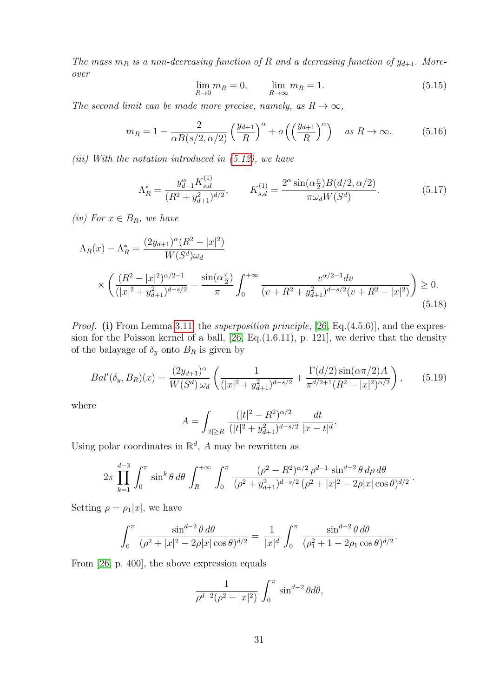The mass  $m_R$  is a non-decreasing function of R and a decreasing function of  $y_{d+1}$ . Moreover

<span id="page-30-1"></span>
$$
\lim_{R \to 0} m_R = 0, \qquad \lim_{R \to \infty} m_R = 1.
$$
\n(5.15)

The second limit can be made more precise, namely, as  $R \to \infty$ ,

<span id="page-30-2"></span>
$$
m_R = 1 - \frac{2}{\alpha B(s/2, \alpha/2)} \left(\frac{y_{d+1}}{R}\right)^{\alpha} + o\left(\left(\frac{y_{d+1}}{R}\right)^{\alpha}\right) \quad \text{as } R \to \infty. \tag{5.16}
$$

(iii) With the notation introduced in  $(5.12)$ , we have

<span id="page-30-4"></span>
$$
\Lambda_R^* = \frac{y_{d+1}^{\alpha} K_{s,d}^{(1)}}{(R^2 + y_{d+1}^2)^{d/2}}, \qquad K_{s,d}^{(1)} = \frac{2^{\alpha} \sin(\alpha \frac{\pi}{2}) B(d/2, \alpha/2)}{\pi \omega_d W(S^d)}.
$$
(5.17)

(iv) For  $x \in B_R$ , we have

$$
\Lambda_R(x) - \Lambda_R^* = \frac{(2y_{d+1})^{\alpha} (R^2 - |x|^2)}{W(S^d)\omega_d}
$$
  
 
$$
\times \left( \frac{(R^2 - |x|^2)^{\alpha/2 - 1}}{(|x|^2 + y_{d+1}^2)^{d - s/2}} - \frac{\sin(\alpha \frac{\pi}{2})}{\pi} \int_0^{+\infty} \frac{v^{\alpha/2 - 1} dv}{(v + R^2 + y_{d+1}^2)^{d - s/2} (v + R^2 - |x|^2)} \right) \ge 0.
$$
\n(5.18)

Proof. (i) From Lemma [3.11,](#page-14-0) the *superposition principle*, [\[26,](#page-35-0) Eq.(4.5.6)], and the expression for the Poisson kernel of a ball, [\[26,](#page-35-0) Eq.(1.6.11), p. 121], we derive that the density of the balayage of  $\delta_y$  onto  $B_R$  is given by

<span id="page-30-0"></span>
$$
Bal'(\delta_y, B_R)(x) = \frac{(2y_{d+1})^{\alpha}}{W(S^d)\,\omega_d} \left( \frac{1}{(|x|^2 + y_{d+1}^2)^{d-s/2}} + \frac{\Gamma(d/2)\sin(\alpha \pi/2)A}{\pi^{d/2+1}(R^2 - |x|^2)^{\alpha/2}} \right),\tag{5.19}
$$

where

<span id="page-30-3"></span>
$$
A = \int_{|t| \ge R} \frac{(|t|^2 - R^2)^{\alpha/2}}{(|t|^2 + y_{d+1}^2)^{d-s/2}} \frac{dt}{|x - t|^d}.
$$

Using polar coordinates in  $\mathbb{R}^d$ , A may be rewritten as

$$
2\pi \prod_{k=1}^{d-3} \int_0^{\pi} \sin^k \theta \, d\theta \int_R^{+\infty} \int_0^{\pi} \frac{(\rho^2 - R^2)^{\alpha/2} \rho^{d-1} \sin^{d-2} \theta \, d\rho \, d\theta}{(\rho^2 + y_{d+1}^2)^{d-s/2} (\rho^2 + |x|^2 - 2\rho |x| \cos \theta)^{d/2}}.
$$

Setting  $\rho = \rho_1 |x|$ , we have

$$
\int_0^{\pi} \frac{\sin^{d-2}\theta \, d\theta}{(\rho^2 + |x|^2 - 2\rho|x|\cos\theta)^{d/2}} = \frac{1}{|x|^d} \int_0^{\pi} \frac{\sin^{d-2}\theta \, d\theta}{(\rho_1^2 + 1 - 2\rho_1\cos\theta)^{d/2}}.
$$

From [\[26,](#page-35-0) p. 400], the above expression equals

$$
\frac{1}{\rho^{d-2}(\rho^2 - |x|^2)} \int_0^\pi \sin^{d-2}\theta d\theta,
$$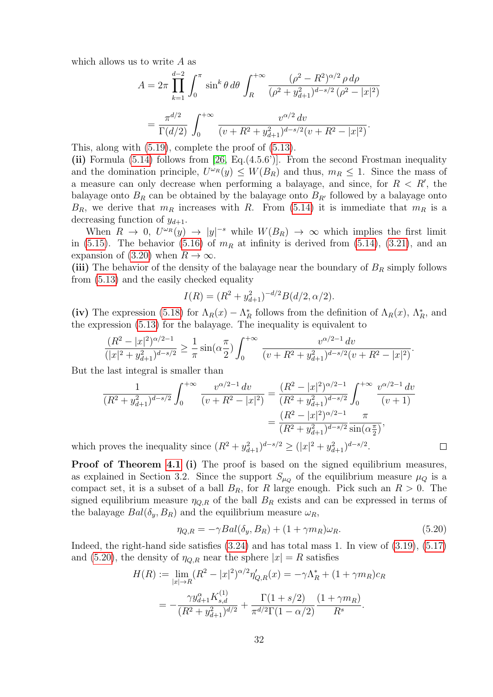which allows us to write A as

$$
A = 2\pi \prod_{k=1}^{d-2} \int_0^{\pi} \sin^k \theta \, d\theta \int_R^{+\infty} \frac{(\rho^2 - R^2)^{\alpha/2} \rho \, d\rho}{(\rho^2 + y_{d+1}^2)^{d-s/2} (\rho^2 - |x|^2)}
$$

$$
= \frac{\pi^{d/2}}{\Gamma(d/2)} \int_0^{+\infty} \frac{v^{\alpha/2} \, dv}{(v + R^2 + y_{d+1}^2)^{d-s/2} (v + R^2 - |x|^2)}.
$$

This, along with [\(5.19\)](#page-30-0), complete the proof of [\(5.13\)](#page-29-2).

(ii) Formula  $(5.14)$  follows from  $[26, Eq.(4.5.6')]$ . From the second Frostman inequality and the domination principle,  $U^{\omega_R}(y) \leq W(B_R)$  and thus,  $m_R \leq 1$ . Since the mass of a measure can only decrease when performing a balayage, and since, for  $R < R'$ , the balayage onto  $B_R$  can be obtained by the balayage onto  $B_{R'}$  followed by a balayage onto  $B_R$ , we derive that  $m_R$  increases with R. From [\(5.14\)](#page-29-3) it is immediate that  $m_R$  is a decreasing function of  $y_{d+1}$ .

When  $R \to 0$ ,  $U^{\omega_R}(y) \to |y|^{-s}$  while  $W(B_R) \to \infty$  which implies the first limit in [\(5.15\)](#page-30-1). The behavior [\(5.16\)](#page-30-2) of  $m_R$  at infinity is derived from [\(5.14\)](#page-29-3), [\(3.21\)](#page-14-7), and an expansion of [\(3.20\)](#page-14-8) when  $R \to \infty$ .

(iii) The behavior of the density of the balayage near the boundary of  $B_R$  simply follows from [\(5.13\)](#page-29-2) and the easily checked equality

$$
I(R) = (R^2 + y_{d+1}^2)^{-d/2} B(d/2, \alpha/2).
$$

(iv) The expression [\(5.18\)](#page-30-3) for  $\Lambda_R(x) - \Lambda_R^*$  follows from the definition of  $\Lambda_R(x)$ ,  $\Lambda_R^*$ , and the expression [\(5.13\)](#page-29-2) for the balayage. The inequality is equivalent to

$$
\frac{(R^2-|x|^2)^{\alpha/2-1}}{(|x|^2+y_{d+1}^2)^{d-s/2}} \ge \frac{1}{\pi} \sin(\alpha \frac{\pi}{2}) \int_0^{+\infty} \frac{v^{\alpha/2-1} dv}{(v+R^2+y_{d+1}^2)^{d-s/2}(v+R^2-|x|^2)}.
$$

But the last integral is smaller than

$$
\frac{1}{(R^2 + y_{d+1}^2)^{d-s/2}} \int_0^{+\infty} \frac{v^{\alpha/2 - 1} dv}{(v + R^2 - |x|^2)} = \frac{(R^2 - |x|^2)^{\alpha/2 - 1}}{(R^2 + y_{d+1}^2)^{d-s/2}} \int_0^{+\infty} \frac{v^{\alpha/2 - 1} dv}{(v + 1)}
$$

$$
= \frac{(R^2 - |x|^2)^{\alpha/2 - 1}}{(R^2 + y_{d+1}^2)^{d-s/2}} \frac{\pi}{\sin(\alpha \frac{\pi}{2})},
$$

which proves the inequality since  $(R^2 + y_{d+1}^2)^{d-s/2} \ge (|x|^2 + y_{d+1}^2)^{d-s/2}$ .

Proof of Theorem [4.1](#page-18-1) (i) The proof is based on the signed equilibrium measures, as explained in Section 3.2. Since the support  $S_{\mu_Q}$  of the equilibrium measure  $\mu_Q$  is a compact set, it is a subset of a ball  $B_R$ , for R large enough. Pick such an  $R > 0$ . The signed equilibrium measure  $\eta_{Q,R}$  of the ball  $B_R$  exists and can be expressed in terms of the balayage  $Bal(\delta_y, B_R)$  and the equilibrium measure  $\omega_R$ ,

<span id="page-31-0"></span>
$$
\eta_{Q,R} = -\gamma Bal(\delta_y, B_R) + (1 + \gamma m_R)\omega_R.
$$
\n(5.20)

 $\Box$ 

Indeed, the right-hand side satisfies [\(3.24\)](#page-15-1) and has total mass 1. In view of [\(3.19\)](#page-14-9), [\(5.17\)](#page-30-4) and [\(5.20\)](#page-31-0), the density of  $\eta_{Q,R}$  near the sphere  $|x| = R$  satisfies

$$
H(R) := \lim_{|x| \to R} (R^2 - |x|^2)^{\alpha/2} \eta'_{Q,R}(x) = -\gamma \Lambda_R^* + (1 + \gamma m_R) c_R
$$
  
= 
$$
-\frac{\gamma y_{d+1}^{\alpha} K_{s,d}^{(1)}}{(R^2 + y_{d+1}^2)^{d/2}} + \frac{\Gamma(1 + s/2)}{\pi^{d/2} \Gamma(1 - \alpha/2)} \frac{(1 + \gamma m_R)}{R^s}.
$$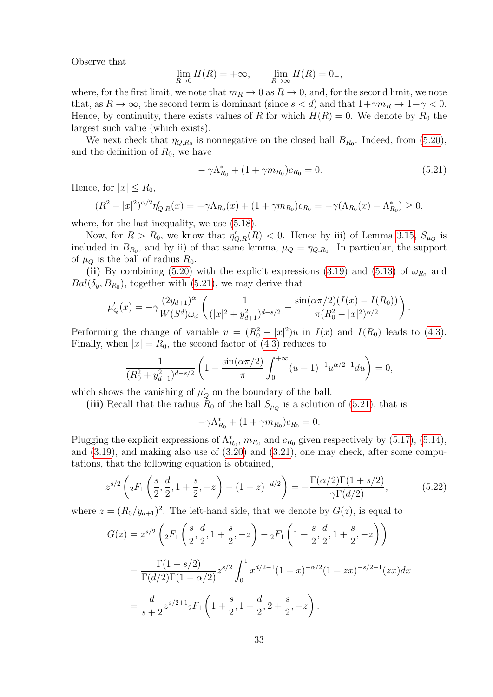Observe that

$$
\lim_{R \to 0} H(R) = +\infty, \qquad \lim_{R \to \infty} H(R) = 0_-,
$$

where, for the first limit, we note that  $m_R \to 0$  as  $R \to 0$ , and, for the second limit, we note that, as  $R \to \infty$ , the second term is dominant (since  $s < d$ ) and that  $1 + \gamma m_R \to 1 + \gamma < 0$ . Hence, by continuity, there exists values of R for which  $H(R) = 0$ . We denote by  $R_0$  the largest such value (which exists).

We next check that  $\eta_{Q,R_0}$  is nonnegative on the closed ball  $B_{R_0}$ . Indeed, from [\(5.20\)](#page-31-0), and the definition of  $R_0$ , we have

<span id="page-32-0"></span>
$$
-\gamma \Lambda_{R_0}^* + (1 + \gamma m_{R_0})c_{R_0} = 0.
$$
\n(5.21)

.

Hence, for  $|x| < R_0$ ,

$$
(R^{2} - |x|^{2})^{\alpha/2} \eta'_{Q,R}(x) = -\gamma \Lambda_{R_{0}}(x) + (1 + \gamma m_{R_{0}})c_{R_{0}} = -\gamma (\Lambda_{R_{0}}(x) - \Lambda_{R_{0}}^{*}) \ge 0,
$$

where, for the last inequality, we use [\(5.18\)](#page-30-3).

Now, for  $R > R_0$ , we know that  $\eta'_{Q,R}(R) < 0$ . Hence by iii) of Lemma [3.15,](#page-16-3)  $S_{\mu_Q}$  is included in  $B_{R_0}$ , and by ii) of that same lemma,  $\mu_Q = \eta_{Q,R_0}$ . In particular, the support of  $\mu_{\mathcal{O}}$  is the ball of radius  $R_0$ .

(ii) By combining [\(5.20\)](#page-31-0) with the explicit expressions [\(3.19\)](#page-14-9) and [\(5.13\)](#page-29-2) of  $\omega_{R_0}$  and  $Bal(\delta_y, B_{R_0}),$  together with [\(5.21\)](#page-32-0), we may derive that

$$
\mu'_Q(x) = -\gamma \frac{(2y_{d+1})^{\alpha}}{W(S^d)\omega_d} \left( \frac{1}{(|x|^2 + y_{d+1}^2)^{d-s/2}} - \frac{\sin(\alpha \pi/2)(I(x) - I(R_0))}{\pi (R_0^2 - |x|^2)^{\alpha/2}} \right)
$$

Performing the change of variable  $v = (R_0^2 - |x|^2)u$  in  $I(x)$  and  $I(R_0)$  leads to [\(4.3\)](#page-18-2). Finally, when  $|x| = R_0$ , the second factor of [\(4.3\)](#page-18-2) reduces to

$$
\frac{1}{(R_0^2 + y_{d+1}^2)^{d-s/2}} \left(1 - \frac{\sin(\alpha \pi/2)}{\pi} \int_0^{+\infty} (u+1)^{-1} u^{\alpha/2 - 1} du\right) = 0,
$$

which shows the vanishing of  $\mu'_{Q}$  on the boundary of the ball.

(iii) Recall that the radius  $R_0$  of the ball  $S_{\mu_Q}$  is a solution of [\(5.21\)](#page-32-0), that is

$$
-\gamma \Lambda_{R_0}^* + (1 + \gamma m_{R_0}) c_{R_0} = 0.
$$

Plugging the explicit expressions of  $\Lambda_{R_0}^*$ ,  $m_{R_0}$  and  $c_{R_0}$  given respectively by [\(5.17\)](#page-30-4), [\(5.14\)](#page-29-3), and [\(3.19\)](#page-14-9), and making also use of [\(3.20\)](#page-14-8) and [\(3.21\)](#page-14-7), one may check, after some computations, that the following equation is obtained,

<span id="page-32-1"></span>
$$
z^{s/2} \left( {}_2F_1 \left( \frac{s}{2}, \frac{d}{2}, 1 + \frac{s}{2}, -z \right) - (1+z)^{-d/2} \right) = -\frac{\Gamma(\alpha/2)\Gamma(1+s/2)}{\gamma \Gamma(d/2)},\tag{5.22}
$$

where  $z = (R_0/y_{d+1})^2$ . The left-hand side, that we denote by  $G(z)$ , is equal to

$$
G(z) = z^{s/2} \left( {}_2F_1 \left( \frac{s}{2}, \frac{d}{2}, 1 + \frac{s}{2}, -z \right) - {}_2F_1 \left( 1 + \frac{s}{2}, \frac{d}{2}, 1 + \frac{s}{2}, -z \right) \right)
$$
  
= 
$$
\frac{\Gamma(1 + s/2)}{\Gamma(d/2)\Gamma(1 - \alpha/2)} z^{s/2} \int_0^1 x^{d/2 - 1} (1 - x)^{-\alpha/2} (1 + zx)^{-s/2 - 1} (zx) dx
$$
  
= 
$$
\frac{d}{s+2} z^{s/2 + 1} {}_2F_1 \left( 1 + \frac{s}{2}, 1 + \frac{d}{2}, 2 + \frac{s}{2}, -z \right).
$$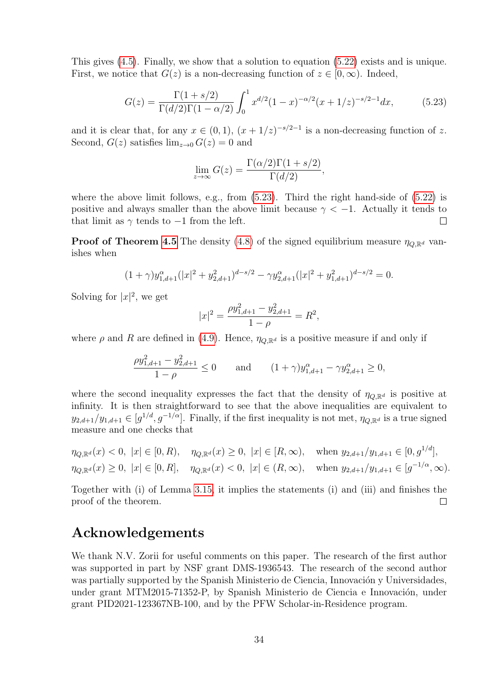This gives [\(4.5\)](#page-18-4). Finally, we show that a solution to equation [\(5.22\)](#page-32-1) exists and is unique. First, we notice that  $G(z)$  is a non-decreasing function of  $z \in [0,\infty)$ . Indeed,

$$
G(z) = \frac{\Gamma(1 + s/2)}{\Gamma(d/2)\Gamma(1 - \alpha/2)} \int_0^1 x^{d/2} (1 - x)^{-\alpha/2} (x + 1/z)^{-s/2 - 1} dx,\tag{5.23}
$$

and it is clear that, for any  $x \in (0,1)$ ,  $(x+1/z)^{-s/2-1}$  is a non-decreasing function of z. Second,  $G(z)$  satisfies  $\lim_{z\to 0} G(z) = 0$  and

<span id="page-33-0"></span>
$$
\lim_{z \to \infty} G(z) = \frac{\Gamma(\alpha/2)\Gamma(1 + s/2)}{\Gamma(d/2)},
$$

where the above limit follows, e.g., from  $(5.23)$ . Third the right hand-side of  $(5.22)$  is positive and always smaller than the above limit because  $\gamma < -1$ . Actually it tends to that limit as  $\gamma$  tends to  $-1$  from the left.  $\Box$ 

**Proof of Theorem [4.5](#page-21-1)** The density [\(4.8\)](#page-21-2) of the signed equilibrium measure  $\eta_{Q,\mathbb{R}^d}$  vanishes when

$$
(1+\gamma)y_{1,d+1}^{\alpha}(|x|^2+y_{2,d+1}^2)^{d-s/2} - \gamma y_{2,d+1}^{\alpha}(|x|^2+y_{1,d+1}^2)^{d-s/2} = 0.
$$

Solving for  $|x|^2$ , we get

$$
|x|^2 = \frac{\rho y_{1,d+1}^2 - y_{2,d+1}^2}{1 - \rho} = R^2,
$$

where  $\rho$  and R are defined in [\(4.9\)](#page-21-0). Hence,  $\eta_{Q,\mathbb{R}^d}$  is a positive measure if and only if

$$
\frac{\rho y_{1,d+1}^2 - y_{2,d+1}^2}{1 - \rho} \le 0 \quad \text{and} \quad (1 + \gamma) y_{1,d+1}^\alpha - \gamma y_{2,d+1}^\alpha \ge 0,
$$

where the second inequality expresses the fact that the density of  $\eta_{Q,\mathbb{R}^d}$  is positive at infinity. It is then straightforward to see that the above inequalities are equivalent to  $y_{2,d+1}/y_{1,d+1} \in [g^{1/d}, g^{-1/\alpha}]$ . Finally, if the first inequality is not met,  $\eta_{Q,\mathbb{R}^d}$  is a true signed measure and one checks that

$$
\eta_{Q,\mathbb{R}^d}(x) < 0, \ |x| \in [0,R), \quad \eta_{Q,\mathbb{R}^d}(x) \ge 0, \ |x| \in [R,\infty), \quad \text{when } y_{2,d+1}/y_{1,d+1} \in [0,g^{1/d}],
$$
\n
$$
\eta_{Q,\mathbb{R}^d}(x) \ge 0, \ |x| \in [0,R], \quad \eta_{Q,\mathbb{R}^d}(x) < 0, \ |x| \in (R,\infty), \quad \text{when } y_{2,d+1}/y_{1,d+1} \in [g^{-1/\alpha},\infty).
$$

Together with (i) of Lemma [3.15,](#page-16-3) it implies the statements (i) and (iii) and finishes the proof of the theorem.  $\Box$ 

### Acknowledgements

We thank N.V. Zorii for useful comments on this paper. The research of the first author was supported in part by NSF grant DMS-1936543. The research of the second author was partially supported by the Spanish Ministerio de Ciencia, Innovación y Universidades, under grant MTM2015-71352-P, by Spanish Ministerio de Ciencia e Innovación, under grant PID2021-123367NB-100, and by the PFW Scholar-in-Residence program.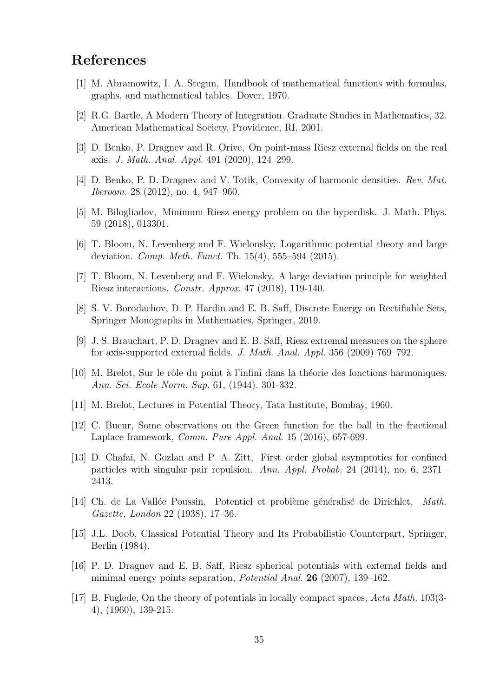## References

- <span id="page-34-12"></span>[1] M. Abramowitz, I. A. Stegun, Handbook of mathematical functions with formulas, graphs, and mathematical tables. Dover, 1970.
- <span id="page-34-9"></span>[2] R.G. Bartle, A Modern Theory of Integration. Graduate Studies in Mathematics, 32. American Mathematical Society, Providence, RI, 2001.
- <span id="page-34-4"></span>[3] D. Benko, P. Dragnev and R. Orive, On point-mass Riesz external fields on the real axis. J. Math. Anal. Appl. 491 (2020), 124–299.
- <span id="page-34-11"></span>[4] D. Benko, P. D. Dragnev and V. Totik, Convexity of harmonic densities. Rev. Mat. Iberoam. 28 (2012), no. 4, 947–960.
- <span id="page-34-14"></span>[5] M. Bilogliadov, Minimum Riesz energy problem on the hyperdisk. J. Math. Phys. 59 (2018), 013301.
- <span id="page-34-0"></span>[6] T. Bloom, N. Levenberg and F. Wielonsky, Logarithmic potential theory and large deviation. Comp. Meth. Funct. Th. 15(4), 555–594 (2015).
- <span id="page-34-15"></span>[7] T. Bloom, N. Levenberg and F. Wielonsky, A large deviation principle for weighted Riesz interactions. Constr. Approx. 47 (2018), 119-140.
- <span id="page-34-3"></span>[8] S. V. Borodachov, D. P. Hardin and E. B. Saff, Discrete Energy on Rectifiable Sets, Springer Monographs in Mathematics, Springer, 2019.
- <span id="page-34-13"></span>[9] J. S. Brauchart, P. D. Dragnev and E. B. Saff, Riesz extremal measures on the sphere for axis-supported external fields. J. Math. Anal. Appl. 356 (2009) 769–792.
- <span id="page-34-5"></span>[10] M. Brelot, Sur le rˆole du point `a l'infini dans la th´eorie des fonctions harmoniques. Ann. Sci. Ecole Norm. Sup. 61, (1944). 301-332.
- <span id="page-34-16"></span>[11] M. Brelot, Lectures in Potential Theory, Tata Institute, Bombay, 1960.
- <span id="page-34-8"></span>[12] C. Bucur, Some observations on the Green function for the ball in the fractional Laplace framework, Comm. Pure Appl. Anal. 15 (2016), 657-699.
- <span id="page-34-2"></span>[13] D. Chafai, N. Gozlan and P. A. Zitt, First–order global asymptotics for confined particles with singular pair repulsion. Ann. Appl. Probab. 24 (2014), no. 6, 2371– 2413.
- <span id="page-34-7"></span>[14] Ch. de La Vallée–Poussin, Potentiel et problème généralisé de Dirichlet, Math. Gazette, London 22 (1938), 17–36.
- <span id="page-34-6"></span>[15] J.L. Doob, Classical Potential Theory and Its Probabilistic Counterpart, Springer, Berlin (1984).
- <span id="page-34-10"></span>[16] P. D. Dragnev and E. B. Saff, Riesz spherical potentials with external fields and minimal energy points separation, Potential Anal. 26 (2007), 139–162.
- <span id="page-34-1"></span>[17] B. Fuglede, On the theory of potentials in locally compact spaces, Acta Math. 103(3- 4), (1960), 139-215.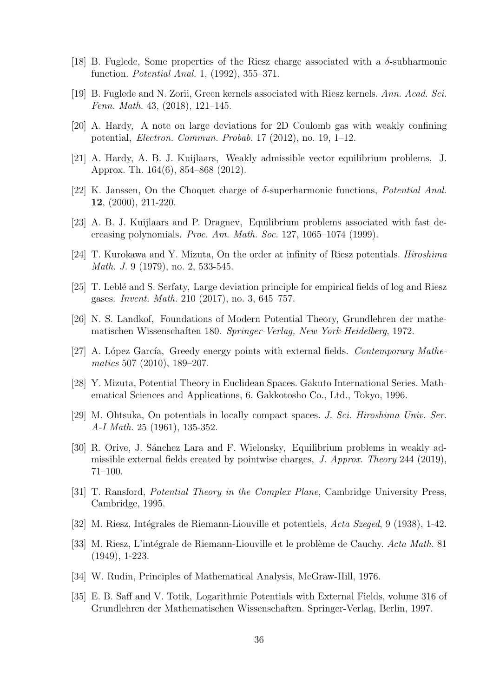- <span id="page-35-14"></span>[18] B. Fuglede, Some properties of the Riesz charge associated with a  $\delta$ -subharmonic function. Potential Anal. 1, (1992), 355–371.
- <span id="page-35-15"></span>[19] B. Fuglede and N. Zorii, Green kernels associated with Riesz kernels. Ann. Acad. Sci. Fenn. Math. 43, (2018), 121–145.
- <span id="page-35-2"></span>[20] A. Hardy, A note on large deviations for 2D Coulomb gas with weakly confining potential, Electron. Commun. Probab. 17 (2012), no. 19, 1–12.
- <span id="page-35-3"></span>[21] A. Hardy, A. B. J. Kuijlaars, Weakly admissible vector equilibrium problems, J. Approx. Th. 164(6), 854–868 (2012).
- <span id="page-35-13"></span>[22] K. Janssen, On the Choquet charge of  $\delta$ -superharmonic functions, *Potential Anal.* 12, (2000), 211-220.
- <span id="page-35-16"></span>[23] A. B. J. Kuijlaars and P. Dragnev, Equilibrium problems associated with fast decreasing polynomials. Proc. Am. Math. Soc. 127, 1065–1074 (1999).
- <span id="page-35-11"></span>[24] T. Kurokawa and Y. Mizuta, On the order at infinity of Riesz potentials. Hiroshima *Math. J.* 9 (1979), no. 2, 533-545.
- <span id="page-35-9"></span>[25] T. Lebl´e and S. Serfaty, Large deviation principle for empirical fields of log and Riesz gases. Invent. Math. 210 (2017), no. 3, 645–757.
- <span id="page-35-0"></span>[26] N. S. Landkof, Foundations of Modern Potential Theory, Grundlehren der mathematischen Wissenschaften 180. Springer-Verlag, New York-Heidelberg, 1972.
- <span id="page-35-10"></span>[27] A. López García, Greedy energy points with external fields. Contemporary Mathematics 507 (2010), 189–207.
- <span id="page-35-8"></span>[28] Y. Mizuta, Potential Theory in Euclidean Spaces. Gakuto International Series. Mathematical Sciences and Applications, 6. Gakkotosho Co., Ltd., Tokyo, 1996.
- <span id="page-35-7"></span>[29] M. Ohtsuka, On potentials in locally compact spaces. J. Sci. Hiroshima Univ. Ser. A-I Math. 25 (1961), 135-352.
- <span id="page-35-4"></span>[30] R. Orive, J. Sánchez Lara and F. Wielonsky, Equilibrium problems in weakly admissible external fields created by pointwise charges, J. Approx. Theory 244 (2019), 71–100.
- <span id="page-35-12"></span>[31] T. Ransford, Potential Theory in the Complex Plane, Cambridge University Press, Cambridge, 1995.
- <span id="page-35-5"></span>[32] M. Riesz, Intégrales de Riemann-Liouville et potentiels, Acta Szeged, 9 (1938), 1-42.
- <span id="page-35-6"></span>[33] M. Riesz, L'intégrale de Riemann-Liouville et le problème de Cauchy. Acta Math. 81 (1949), 1-223.
- <span id="page-35-17"></span>[34] W. Rudin, Principles of Mathematical Analysis, McGraw-Hill, 1976.
- <span id="page-35-1"></span>[35] E. B. Saff and V. Totik, Logarithmic Potentials with External Fields, volume 316 of Grundlehren der Mathematischen Wissenschaften. Springer-Verlag, Berlin, 1997.